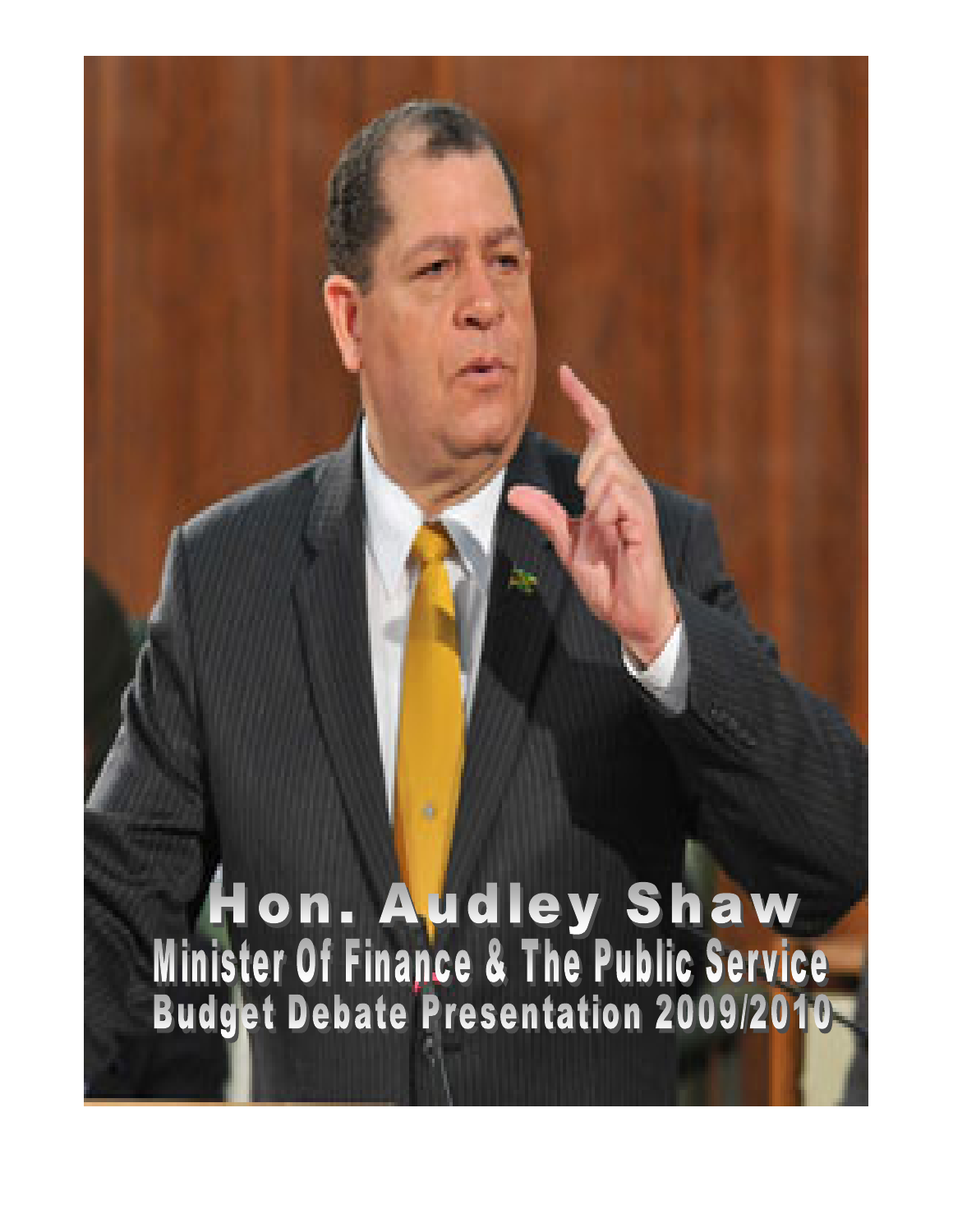Hon. Audley Shaw<br>Minister Of Finance & The Public Service<br>Budget Debate Presentation 2009/2010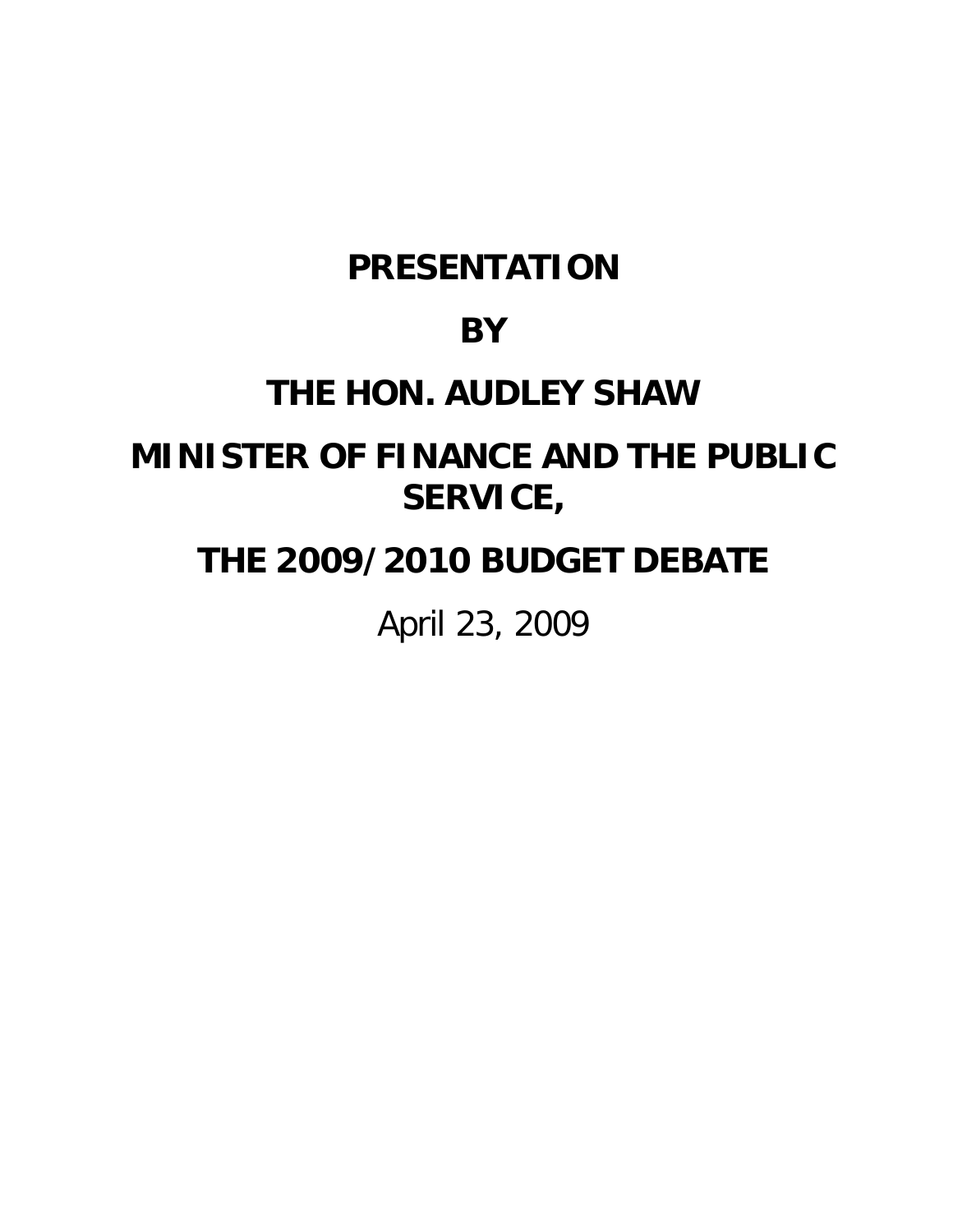# **PRESENTATION**

# **BY**

# **THE HON. AUDLEY SHAW**

# **MINISTER OF FINANCE AND THE PUBLIC SERVICE,**

# **THE 2009/2010 BUDGET DEBATE**

April 23, 2009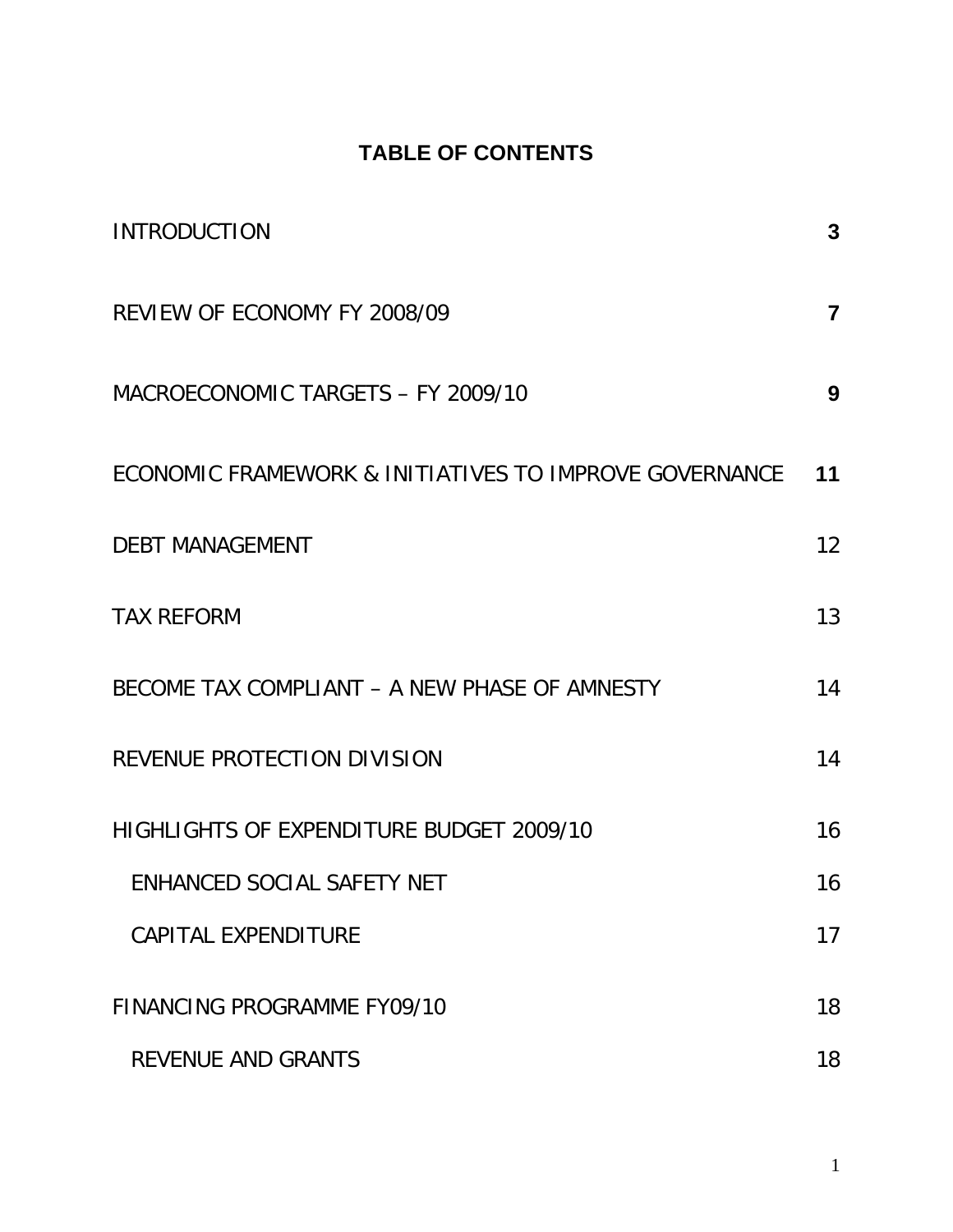# **TABLE OF CONTENTS**

| <b>INTRODUCTION</b>                                    | 3                       |
|--------------------------------------------------------|-------------------------|
| REVIEW OF ECONOMY FY 2008/09                           | $\overline{\mathbf{7}}$ |
| MACROECONOMIC TARGETS - FY 2009/10                     | 9                       |
| ECONOMIC FRAMEWORK & INITIATIVES TO IMPROVE GOVERNANCE | 11                      |
| <b>DEBT MANAGEMENT</b>                                 | 12 <sup>2</sup>         |
| <b>TAX REFORM</b>                                      | 13                      |
| BECOME TAX COMPLIANT - A NEW PHASE OF AMNESTY          | 14                      |
| REVENUE PROTECTION DIVISION                            | 14                      |
| HIGHLIGHTS OF EXPENDITURE BUDGET 2009/10               | 16                      |
| ENHANCED SOCIAL SAFETY NET                             | 16                      |
| <b>CAPITAL EXPENDITURE</b>                             | 17                      |
| <b>FINANCING PROGRAMME FY09/10</b>                     | 18                      |
| <b>REVENUE AND GRANTS</b>                              | 18                      |

1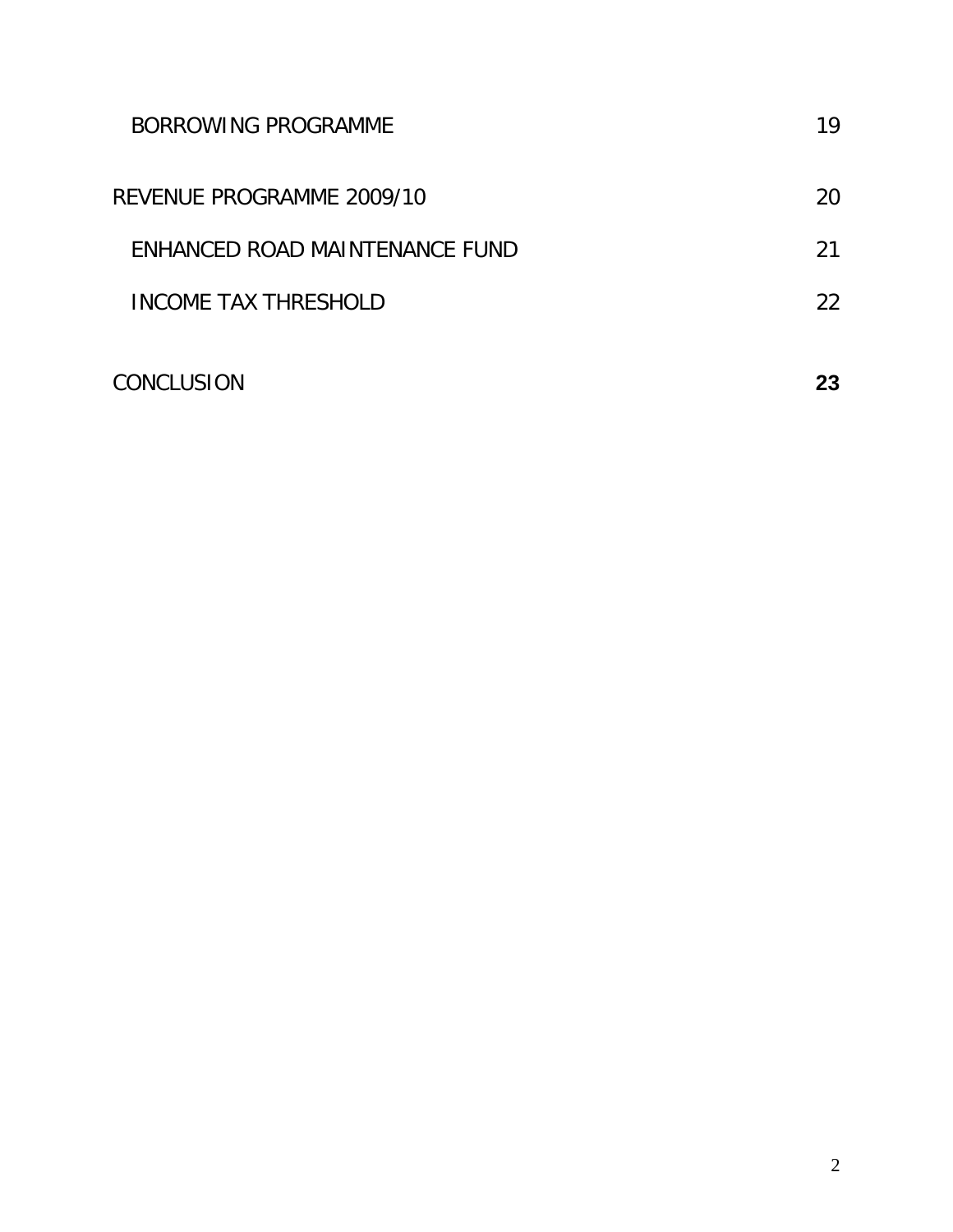| BORROWING PROGRAMME            | 19 |
|--------------------------------|----|
| REVENUE PROGRAMME 2009/10      | 20 |
| ENHANCED ROAD MAINTENANCE FUND | 21 |
| INCOME TAX THRESHOLD           | 22 |
| CONCLUSION                     | 23 |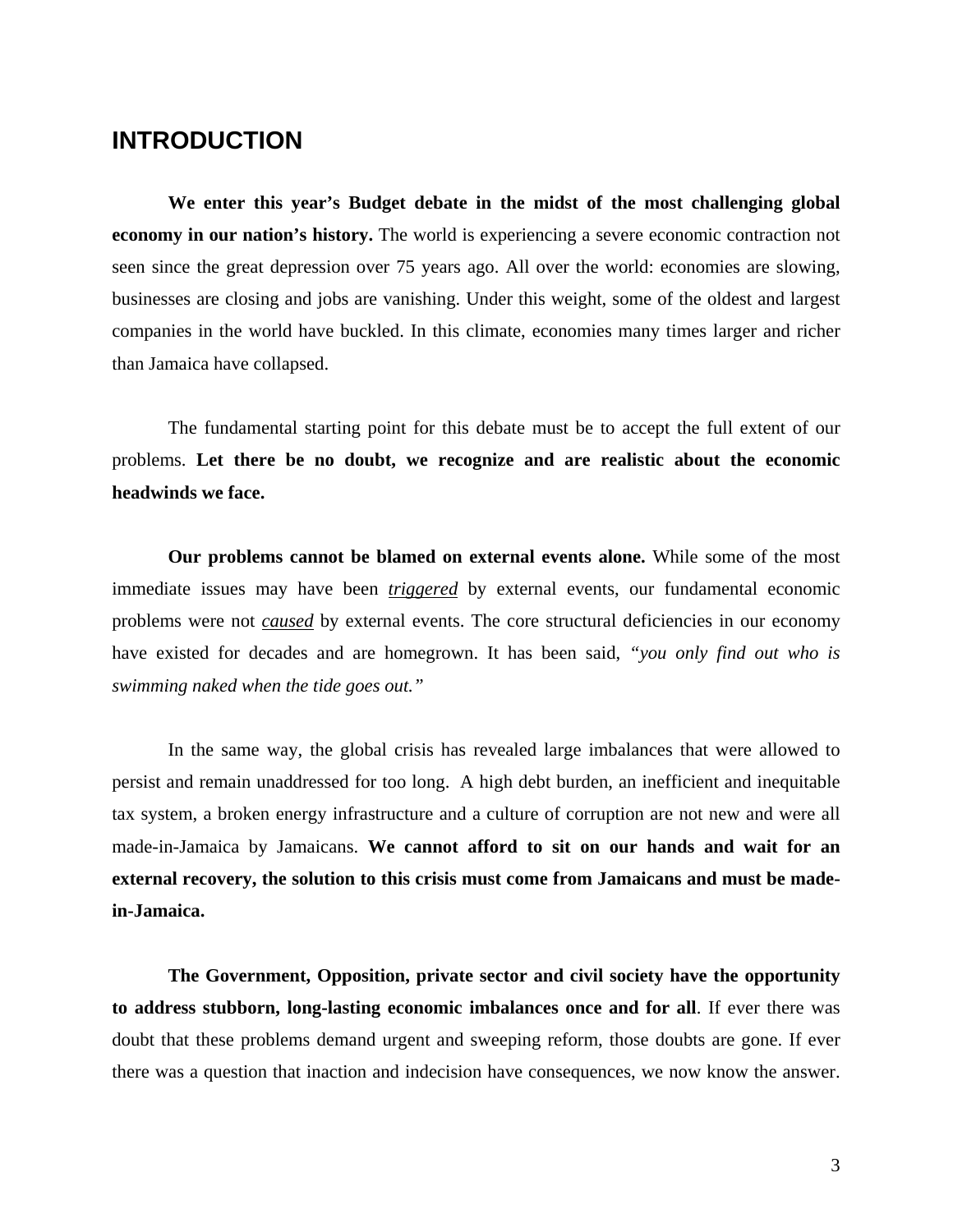## <span id="page-4-0"></span>**INTRODUCTION**

**We enter this year's Budget debate in the midst of the most challenging global economy in our nation's history.** The world is experiencing a severe economic contraction not seen since the great depression over 75 years ago. All over the world: economies are slowing, businesses are closing and jobs are vanishing. Under this weight, some of the oldest and largest companies in the world have buckled. In this climate, economies many times larger and richer than Jamaica have collapsed.

The fundamental starting point for this debate must be to accept the full extent of our problems. **Let there be no doubt, we recognize and are realistic about the economic headwinds we face.**

**Our problems cannot be blamed on external events alone.** While some of the most immediate issues may have been *triggered* by external events, our fundamental economic problems were not *caused* by external events. The core structural deficiencies in our economy have existed for decades and are homegrown. It has been said, *"you only find out who is swimming naked when the tide goes out."* 

In the same way, the global crisis has revealed large imbalances that were allowed to persist and remain unaddressed for too long. A high debt burden, an inefficient and inequitable tax system, a broken energy infrastructure and a culture of corruption are not new and were all made-in-Jamaica by Jamaicans. **We cannot afford to sit on our hands and wait for an external recovery, the solution to this crisis must come from Jamaicans and must be madein-Jamaica.**

**The Government, Opposition, private sector and civil society have the opportunity to address stubborn, long-lasting economic imbalances once and for all**. If ever there was doubt that these problems demand urgent and sweeping reform, those doubts are gone. If ever there was a question that inaction and indecision have consequences, we now know the answer.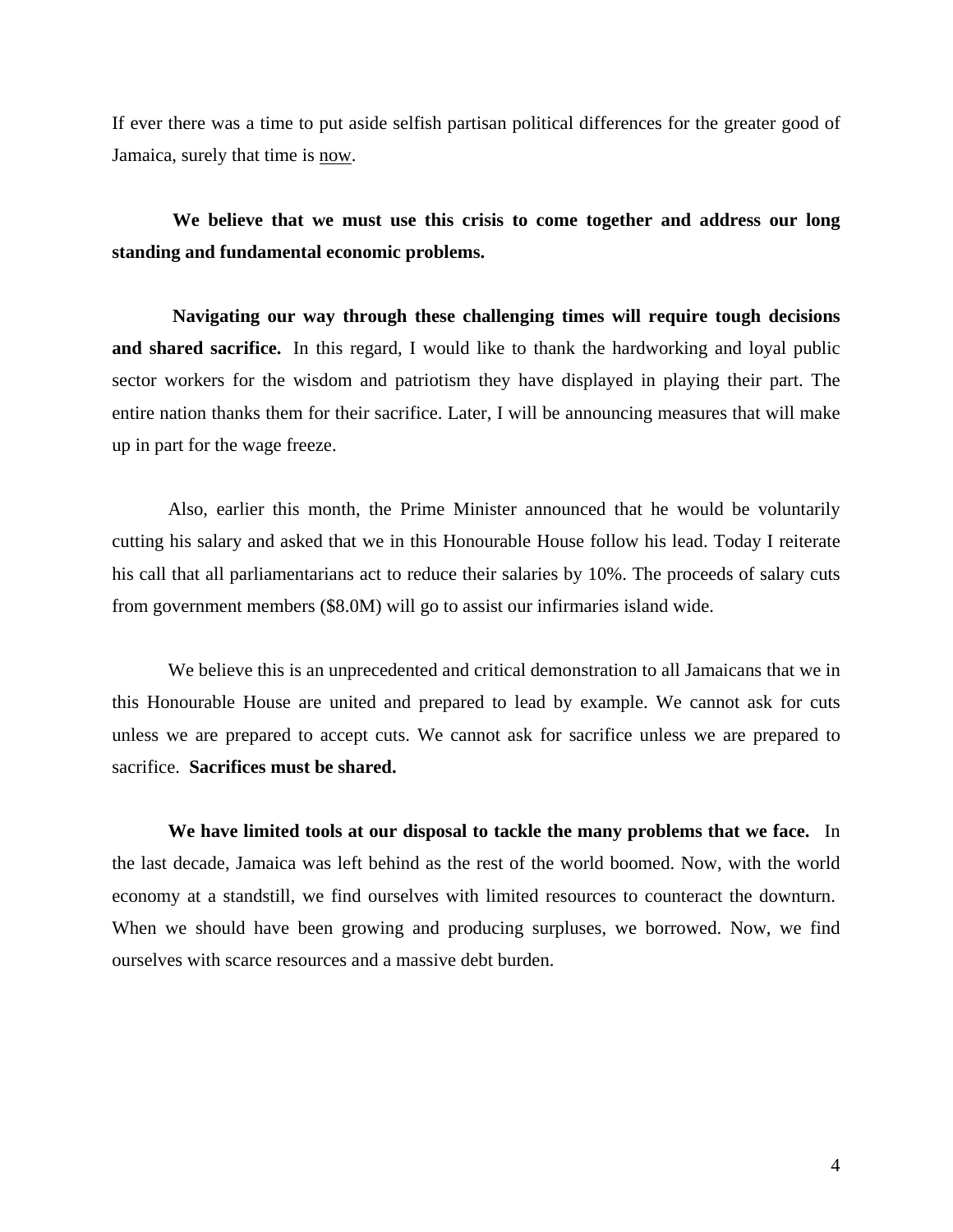If ever there was a time to put aside selfish partisan political differences for the greater good of Jamaica, surely that time is now.

**We believe that we must use this crisis to come together and address our long standing and fundamental economic problems.**

**Navigating our way through these challenging times will require tough decisions and shared sacrifice.** In this regard, I would like to thank the hardworking and loyal public sector workers for the wisdom and patriotism they have displayed in playing their part. The entire nation thanks them for their sacrifice. Later, I will be announcing measures that will make up in part for the wage freeze.

Also, earlier this month, the Prime Minister announced that he would be voluntarily cutting his salary and asked that we in this Honourable House follow his lead. Today I reiterate his call that all parliamentarians act to reduce their salaries by 10%. The proceeds of salary cuts from government members (\$8.0M) will go to assist our infirmaries island wide.

We believe this is an unprecedented and critical demonstration to all Jamaicans that we in this Honourable House are united and prepared to lead by example. We cannot ask for cuts unless we are prepared to accept cuts. We cannot ask for sacrifice unless we are prepared to sacrifice. **Sacrifices must be shared.**

**We have limited tools at our disposal to tackle the many problems that we face.** In the last decade, Jamaica was left behind as the rest of the world boomed. Now, with the world economy at a standstill, we find ourselves with limited resources to counteract the downturn. When we should have been growing and producing surpluses, we borrowed. Now, we find ourselves with scarce resources and a massive debt burden.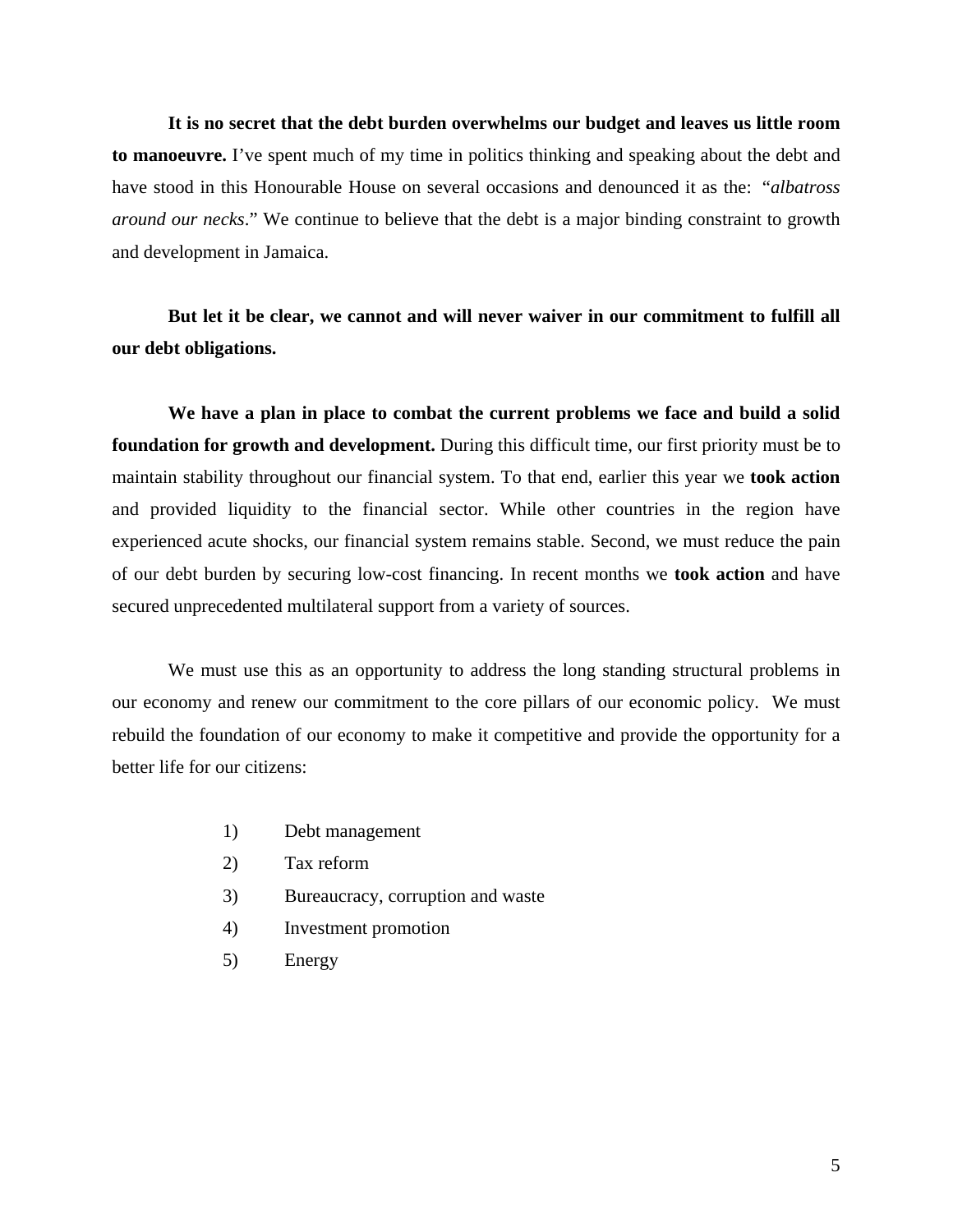**It is no secret that the debt burden overwhelms our budget and leaves us little room to manoeuvre.** I've spent much of my time in politics thinking and speaking about the debt and have stood in this Honourable House on several occasions and denounced it as the: "*albatross around our necks*." We continue to believe that the debt is a major binding constraint to growth and development in Jamaica.

## **But let it be clear, we cannot and will never waiver in our commitment to fulfill all our debt obligations.**

**We have a plan in place to combat the current problems we face and build a solid foundation for growth and development.** During this difficult time, our first priority must be to maintain stability throughout our financial system. To that end, earlier this year we **took action** and provided liquidity to the financial sector. While other countries in the region have experienced acute shocks, our financial system remains stable. Second, we must reduce the pain of our debt burden by securing low-cost financing. In recent months we **took action** and have secured unprecedented multilateral support from a variety of sources.

We must use this as an opportunity to address the long standing structural problems in our economy and renew our commitment to the core pillars of our economic policy. We must rebuild the foundation of our economy to make it competitive and provide the opportunity for a better life for our citizens:

- 1) Debt management
- 2) Tax reform
- 3) Bureaucracy, corruption and waste
- 4) Investment promotion
- 5) Energy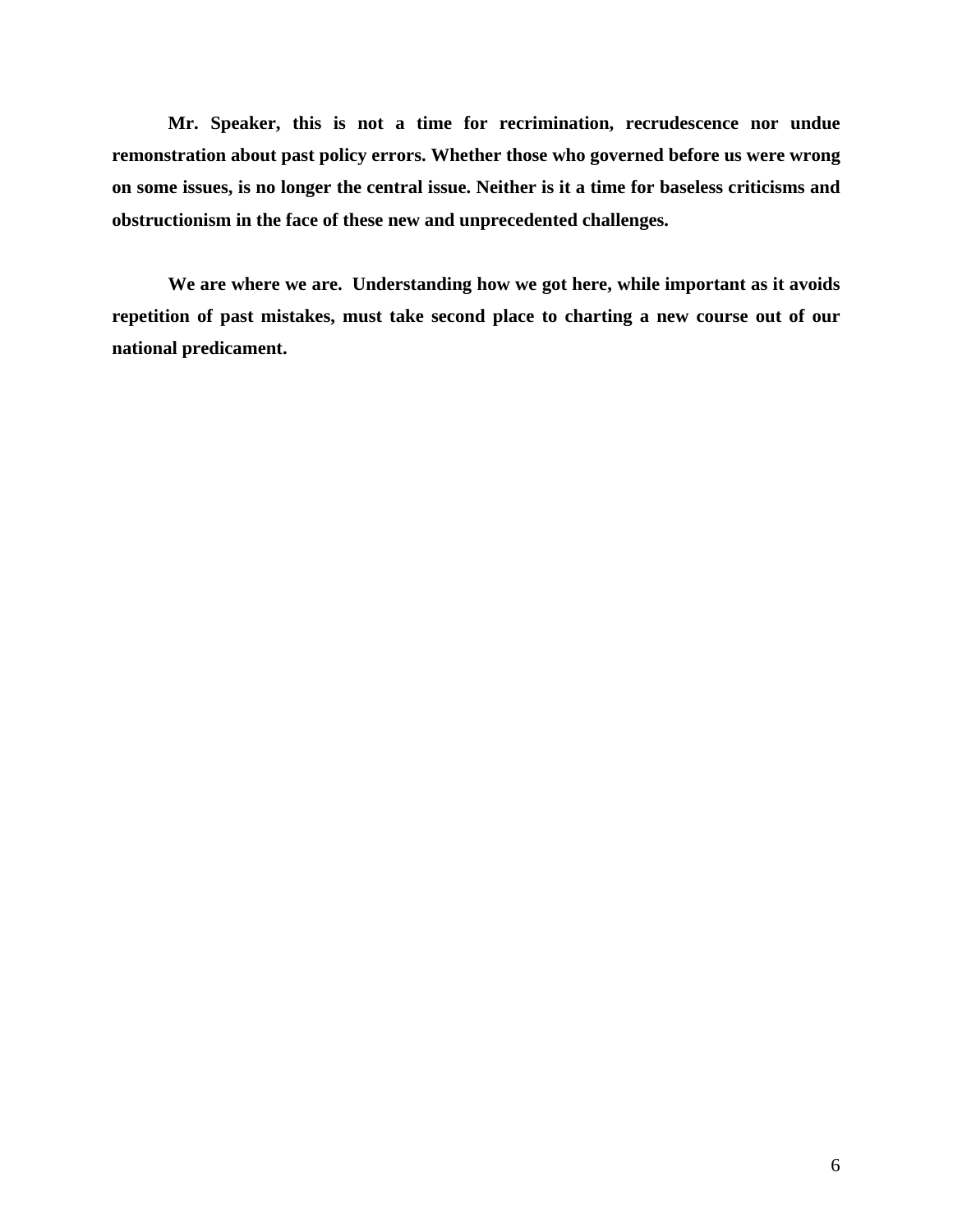**Mr. Speaker, this is not a time for recrimination, recrudescence nor undue remonstration about past policy errors. Whether those who governed before us were wrong on some issues, is no longer the central issue. Neither is it a time for baseless criticisms and obstructionism in the face of these new and unprecedented challenges.** 

**We are where we are. Understanding how we got here, while important as it avoids repetition of past mistakes, must take second place to charting a new course out of our national predicament.**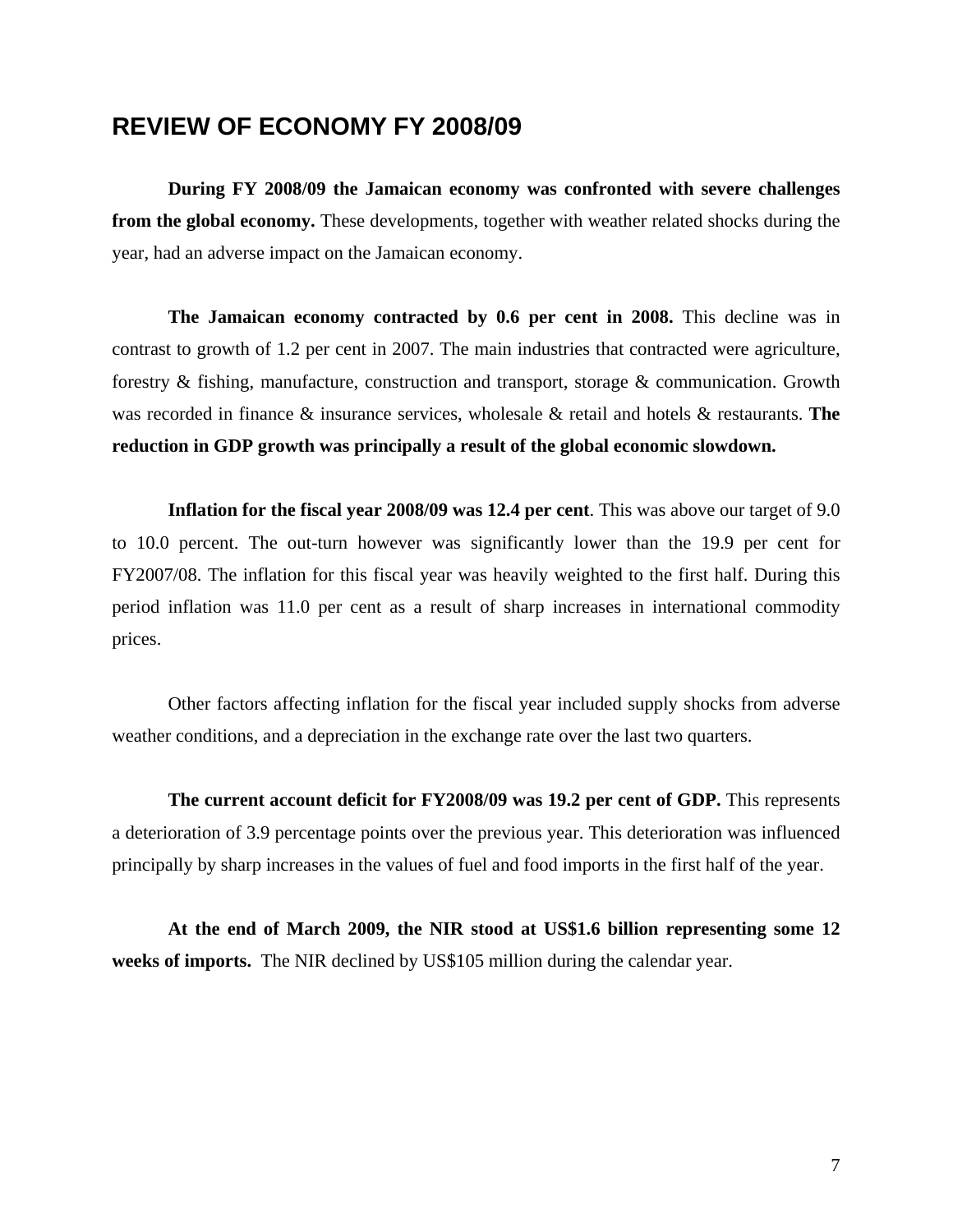## <span id="page-8-0"></span>**REVIEW OF ECONOMY FY 2008/09**

**During FY 2008/09 the Jamaican economy was confronted with severe challenges from the global economy.** These developments, together with weather related shocks during the year, had an adverse impact on the Jamaican economy.

**The Jamaican economy contracted by 0.6 per cent in 2008.** This decline was in contrast to growth of 1.2 per cent in 2007. The main industries that contracted were agriculture, forestry & fishing, manufacture, construction and transport, storage & communication. Growth was recorded in finance & insurance services, wholesale & retail and hotels & restaurants. **The reduction in GDP growth was principally a result of the global economic slowdown.** 

**Inflation for the fiscal year 2008/09 was 12.4 per cent**. This was above our target of 9.0 to 10.0 percent. The out-turn however was significantly lower than the 19.9 per cent for FY2007/08. The inflation for this fiscal year was heavily weighted to the first half. During this period inflation was 11.0 per cent as a result of sharp increases in international commodity prices.

Other factors affecting inflation for the fiscal year included supply shocks from adverse weather conditions, and a depreciation in the exchange rate over the last two quarters.

**The current account deficit for FY2008/09 was 19.2 per cent of GDP.** This represents a deterioration of 3.9 percentage points over the previous year. This deterioration was influenced principally by sharp increases in the values of fuel and food imports in the first half of the year.

**At the end of March 2009, the NIR stood at US\$1.6 billion representing some 12 weeks of imports.** The NIR declined by US\$105 million during the calendar year.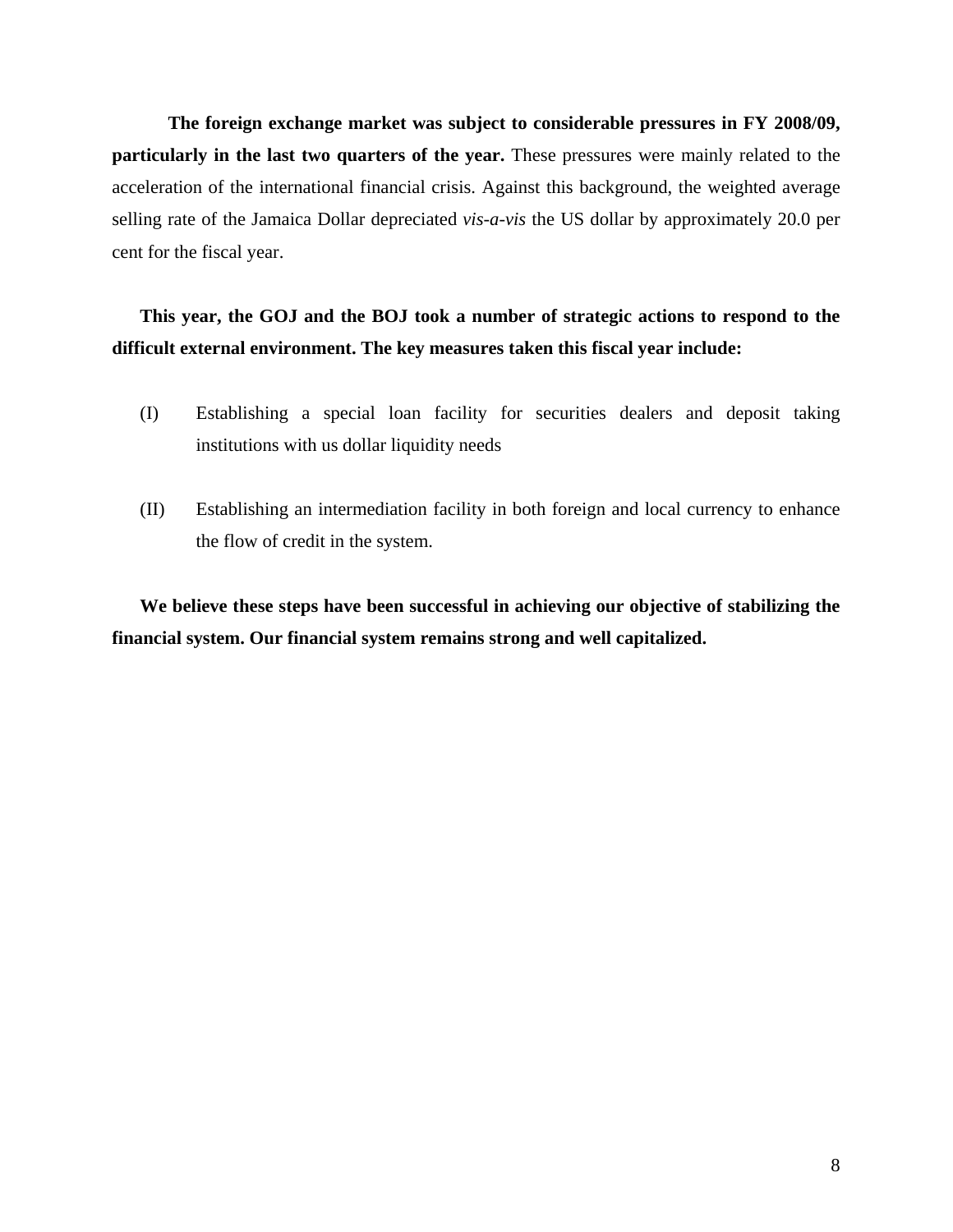**The foreign exchange market was subject to considerable pressures in FY 2008/09, particularly in the last two quarters of the year.** These pressures were mainly related to the acceleration of the international financial crisis. Against this background, the weighted average selling rate of the Jamaica Dollar depreciated *vis-a-vis* the US dollar by approximately 20.0 per cent for the fiscal year.

## **This year, the GOJ and the BOJ took a number of strategic actions to respond to the difficult external environment. The key measures taken this fiscal year include:**

- (I) Establishing a special loan facility for securities dealers and deposit taking institutions with us dollar liquidity needs
- (II) Establishing an intermediation facility in both foreign and local currency to enhance the flow of credit in the system.

**We believe these steps have been successful in achieving our objective of stabilizing the financial system. Our financial system remains strong and well capitalized.**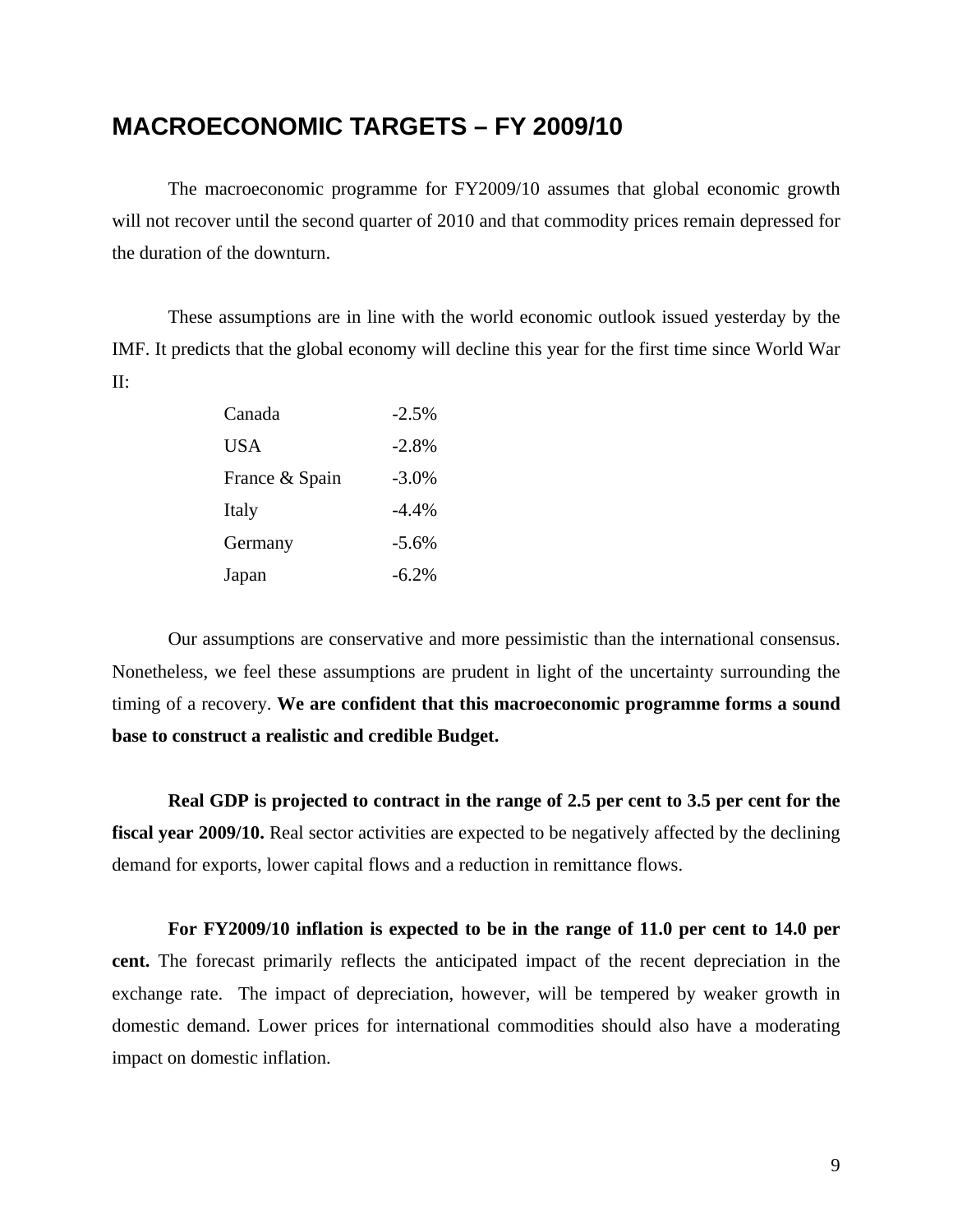## <span id="page-10-0"></span>**MACROECONOMIC TARGETS – FY 2009/10**

The macroeconomic programme for FY2009/10 assumes that global economic growth will not recover until the second quarter of 2010 and that commodity prices remain depressed for the duration of the downturn.

These assumptions are in line with the world economic outlook issued yesterday by the IMF. It predicts that the global economy will decline this year for the first time since World War II:

| Canada         | $-2.5%$  |
|----------------|----------|
| <b>USA</b>     | $-2.8\%$ |
| France & Spain | $-3.0\%$ |
| Italy          | $-4.4\%$ |
| Germany        | $-5.6\%$ |
| Japan          | $-6.2\%$ |

Our assumptions are conservative and more pessimistic than the international consensus. Nonetheless, we feel these assumptions are prudent in light of the uncertainty surrounding the timing of a recovery. **We are confident that this macroeconomic programme forms a sound base to construct a realistic and credible Budget.** 

**Real GDP is projected to contract in the range of 2.5 per cent to 3.5 per cent for the fiscal year 2009/10.** Real sector activities are expected to be negatively affected by the declining demand for exports, lower capital flows and a reduction in remittance flows.

**For FY2009/10 inflation is expected to be in the range of 11.0 per cent to 14.0 per cent.** The forecast primarily reflects the anticipated impact of the recent depreciation in the exchange rate. The impact of depreciation, however, will be tempered by weaker growth in domestic demand. Lower prices for international commodities should also have a moderating impact on domestic inflation.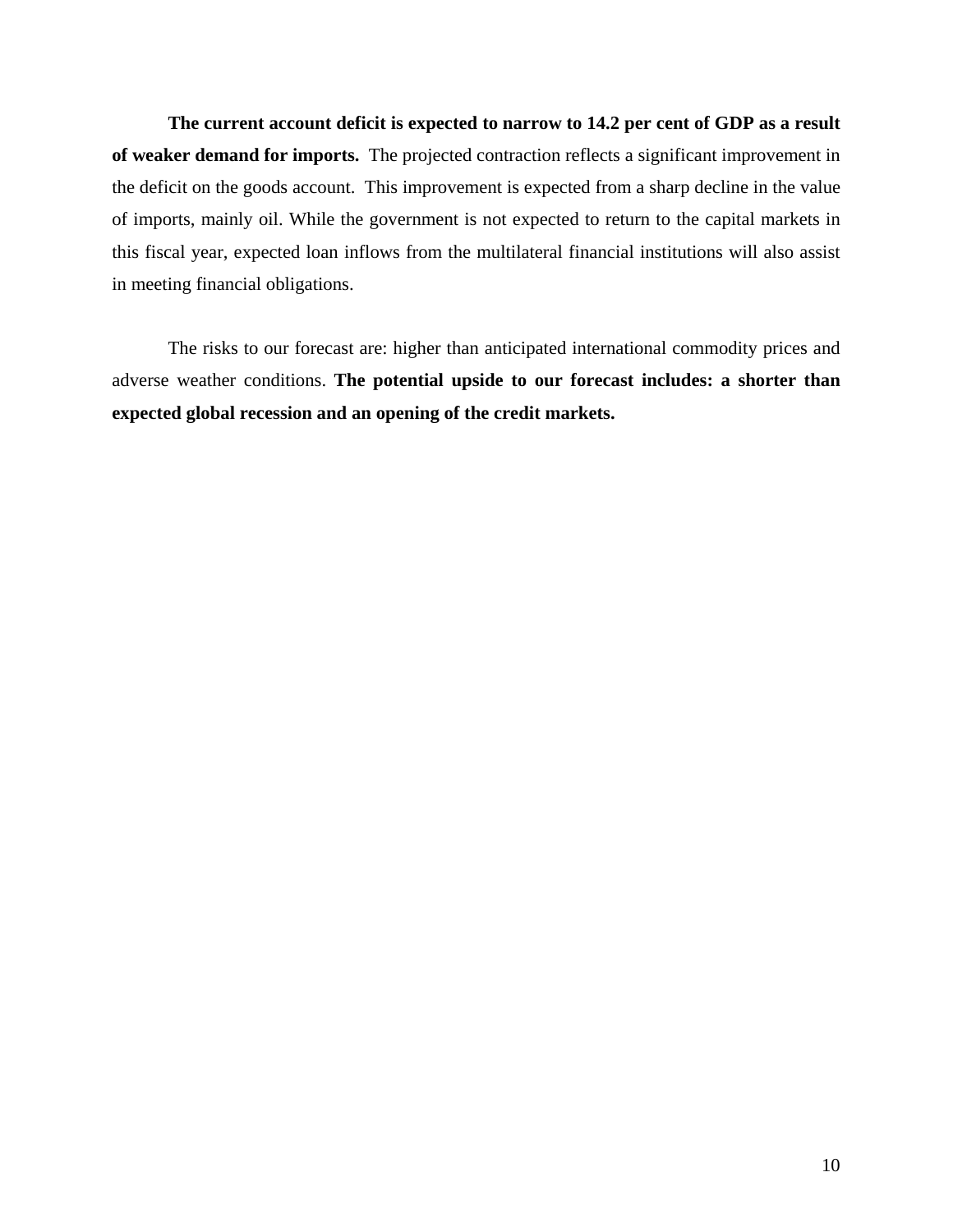**The current account deficit is expected to narrow to 14.2 per cent of GDP as a result of weaker demand for imports.** The projected contraction reflects a significant improvement in the deficit on the goods account. This improvement is expected from a sharp decline in the value of imports, mainly oil. While the government is not expected to return to the capital markets in this fiscal year, expected loan inflows from the multilateral financial institutions will also assist in meeting financial obligations.

The risks to our forecast are: higher than anticipated international commodity prices and adverse weather conditions. **The potential upside to our forecast includes: a shorter than expected global recession and an opening of the credit markets.**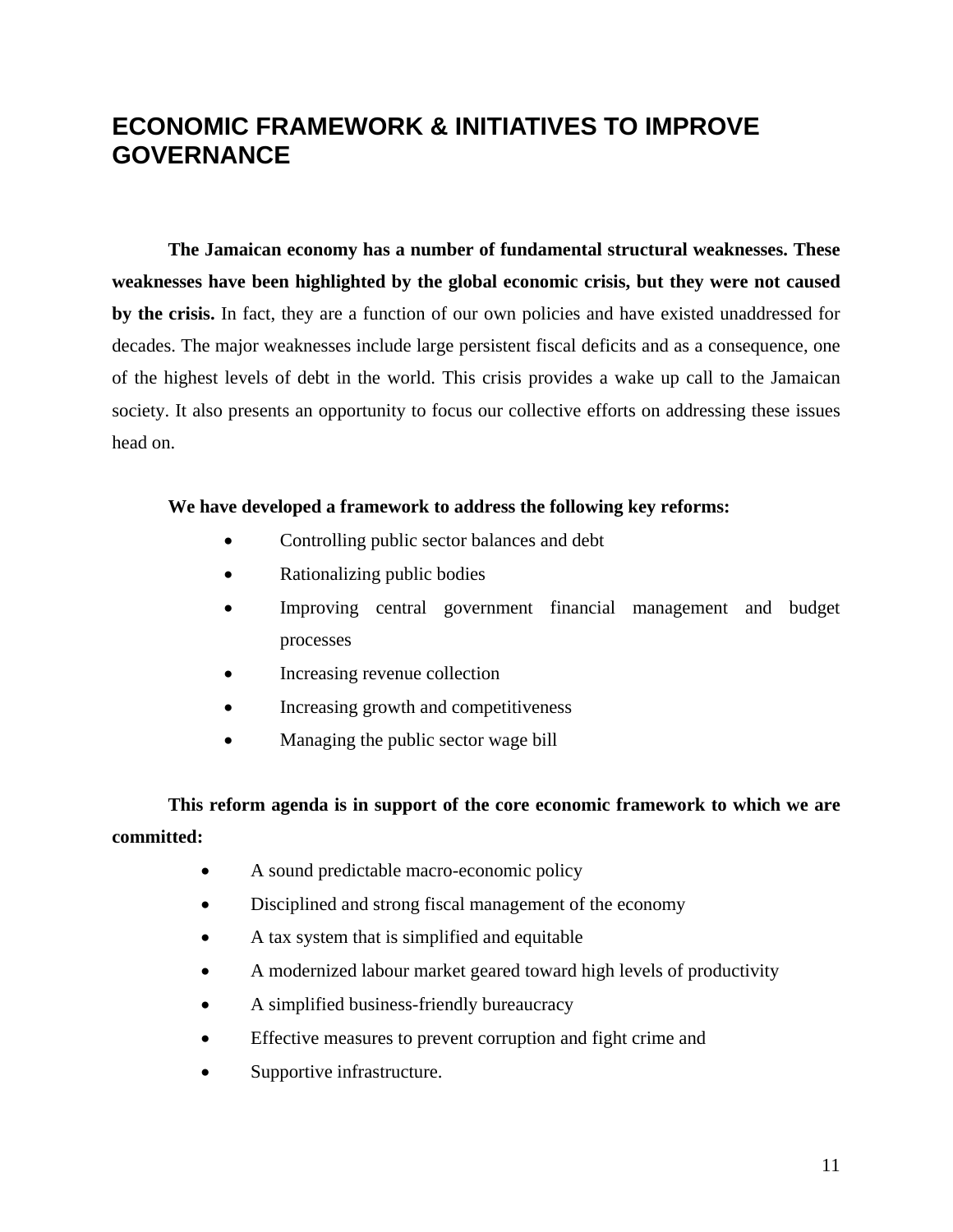# <span id="page-12-0"></span>**ECONOMIC FRAMEWORK & INITIATIVES TO IMPROVE GOVERNANCE**

**The Jamaican economy has a number of fundamental structural weaknesses. These weaknesses have been highlighted by the global economic crisis, but they were not caused by the crisis.** In fact, they are a function of our own policies and have existed unaddressed for decades. The major weaknesses include large persistent fiscal deficits and as a consequence, one of the highest levels of debt in the world. This crisis provides a wake up call to the Jamaican society. It also presents an opportunity to focus our collective efforts on addressing these issues head on.

#### **We have developed a framework to address the following key reforms:**

- Controlling public sector balances and debt
- Rationalizing public bodies
- Improving central government financial management and budget processes
- Increasing revenue collection
- Increasing growth and competitiveness
- Managing the public sector wage bill

**This reform agenda is in support of the core economic framework to which we are committed:** 

- A sound predictable macro-economic policy
- Disciplined and strong fiscal management of the economy
- A tax system that is simplified and equitable
- A modernized labour market geared toward high levels of productivity
- A simplified business-friendly bureaucracy
- Effective measures to prevent corruption and fight crime and
- Supportive infrastructure.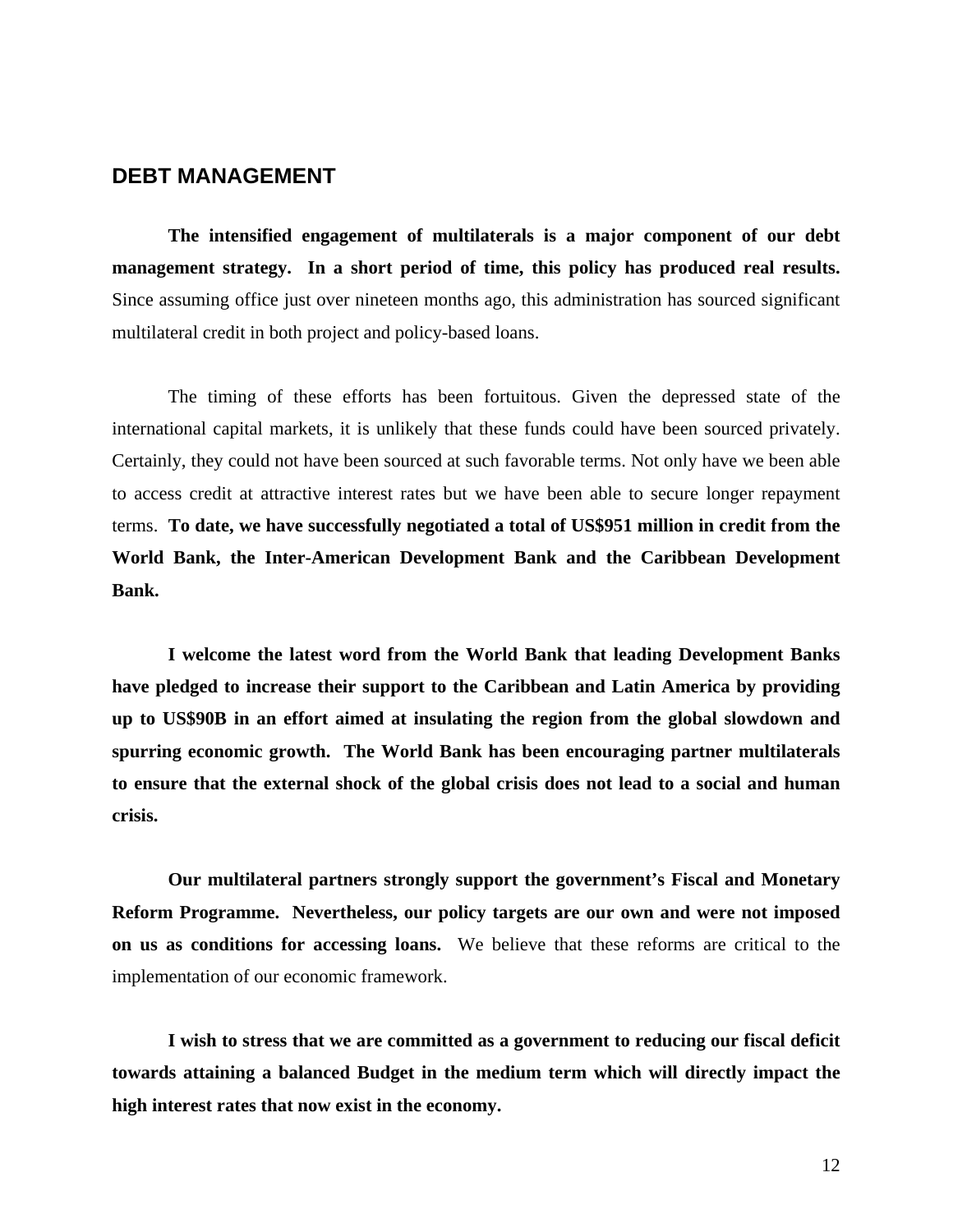### <span id="page-13-0"></span>**DEBT MANAGEMENT**

**The intensified engagement of multilaterals is a major component of our debt management strategy. In a short period of time, this policy has produced real results.** Since assuming office just over nineteen months ago, this administration has sourced significant multilateral credit in both project and policy-based loans.

The timing of these efforts has been fortuitous. Given the depressed state of the international capital markets, it is unlikely that these funds could have been sourced privately. Certainly, they could not have been sourced at such favorable terms. Not only have we been able to access credit at attractive interest rates but we have been able to secure longer repayment terms. **To date, we have successfully negotiated a total of US\$951 million in credit from the World Bank, the Inter-American Development Bank and the Caribbean Development Bank.** 

**I welcome the latest word from the World Bank that leading Development Banks have pledged to increase their support to the Caribbean and Latin America by providing up to US\$90B in an effort aimed at insulating the region from the global slowdown and spurring economic growth. The World Bank has been encouraging partner multilaterals to ensure that the external shock of the global crisis does not lead to a social and human crisis.** 

**Our multilateral partners strongly support the government's Fiscal and Monetary Reform Programme. Nevertheless, our policy targets are our own and were not imposed on us as conditions for accessing loans.** We believe that these reforms are critical to the implementation of our economic framework.

**I wish to stress that we are committed as a government to reducing our fiscal deficit towards attaining a balanced Budget in the medium term which will directly impact the high interest rates that now exist in the economy.**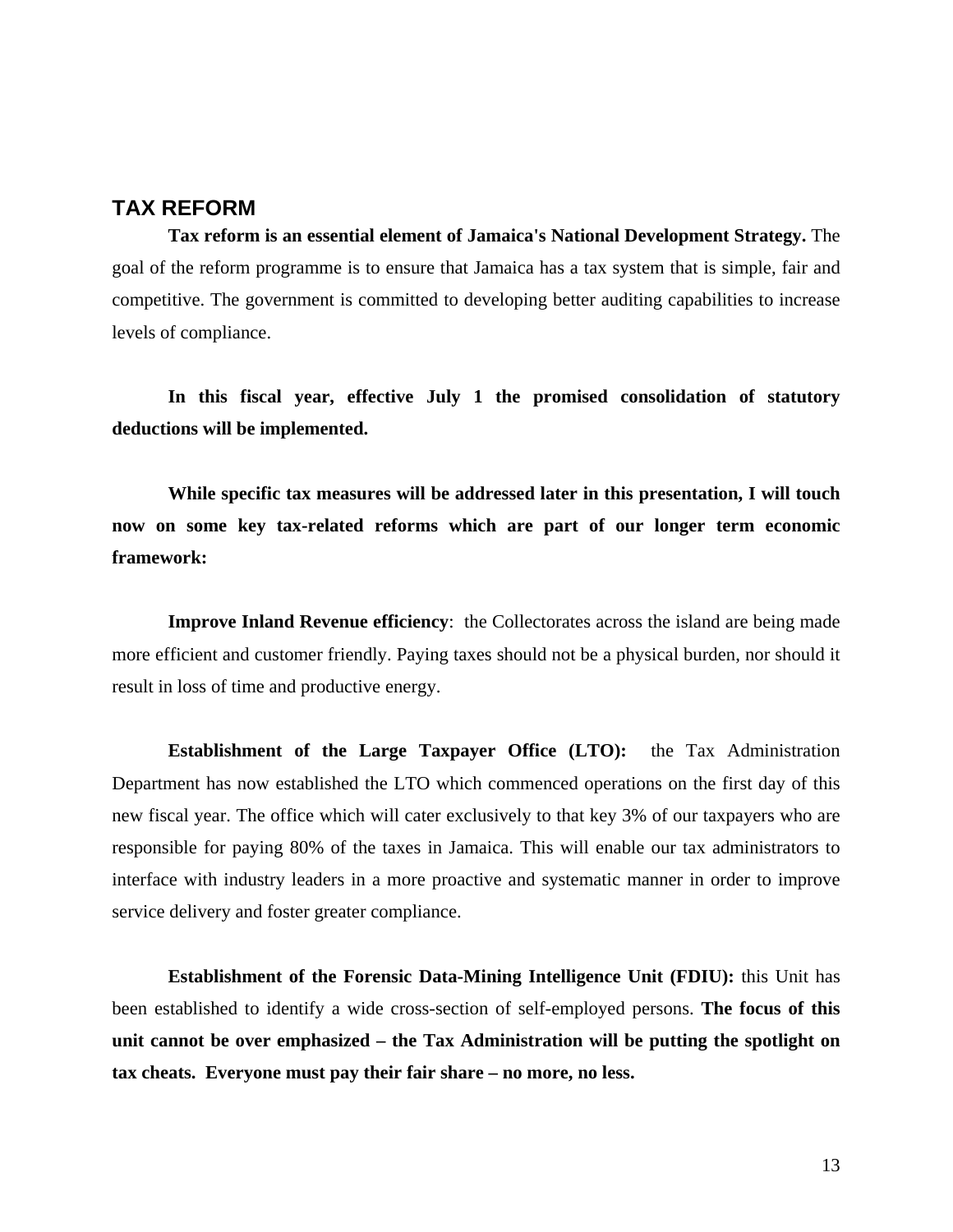## <span id="page-14-0"></span>**TAX REFORM**

**Tax reform is an essential element of Jamaica's National Development Strategy.** The goal of the reform programme is to ensure that Jamaica has a tax system that is simple, fair and competitive. The government is committed to developing better auditing capabilities to increase levels of compliance.

**In this fiscal year, effective July 1 the promised consolidation of statutory deductions will be implemented.** 

**While specific tax measures will be addressed later in this presentation, I will touch now on some key tax-related reforms which are part of our longer term economic framework:** 

**Improve Inland Revenue efficiency**: the Collectorates across the island are being made more efficient and customer friendly. Paying taxes should not be a physical burden, nor should it result in loss of time and productive energy.

**Establishment of the Large Taxpayer Office (LTO):** the Tax Administration Department has now established the LTO which commenced operations on the first day of this new fiscal year. The office which will cater exclusively to that key 3% of our taxpayers who are responsible for paying 80% of the taxes in Jamaica. This will enable our tax administrators to interface with industry leaders in a more proactive and systematic manner in order to improve service delivery and foster greater compliance.

**Establishment of the Forensic Data-Mining Intelligence Unit (FDIU):** this Unit has been established to identify a wide cross-section of self-employed persons. **The focus of this unit cannot be over emphasized – the Tax Administration will be putting the spotlight on tax cheats. Everyone must pay their fair share – no more, no less.**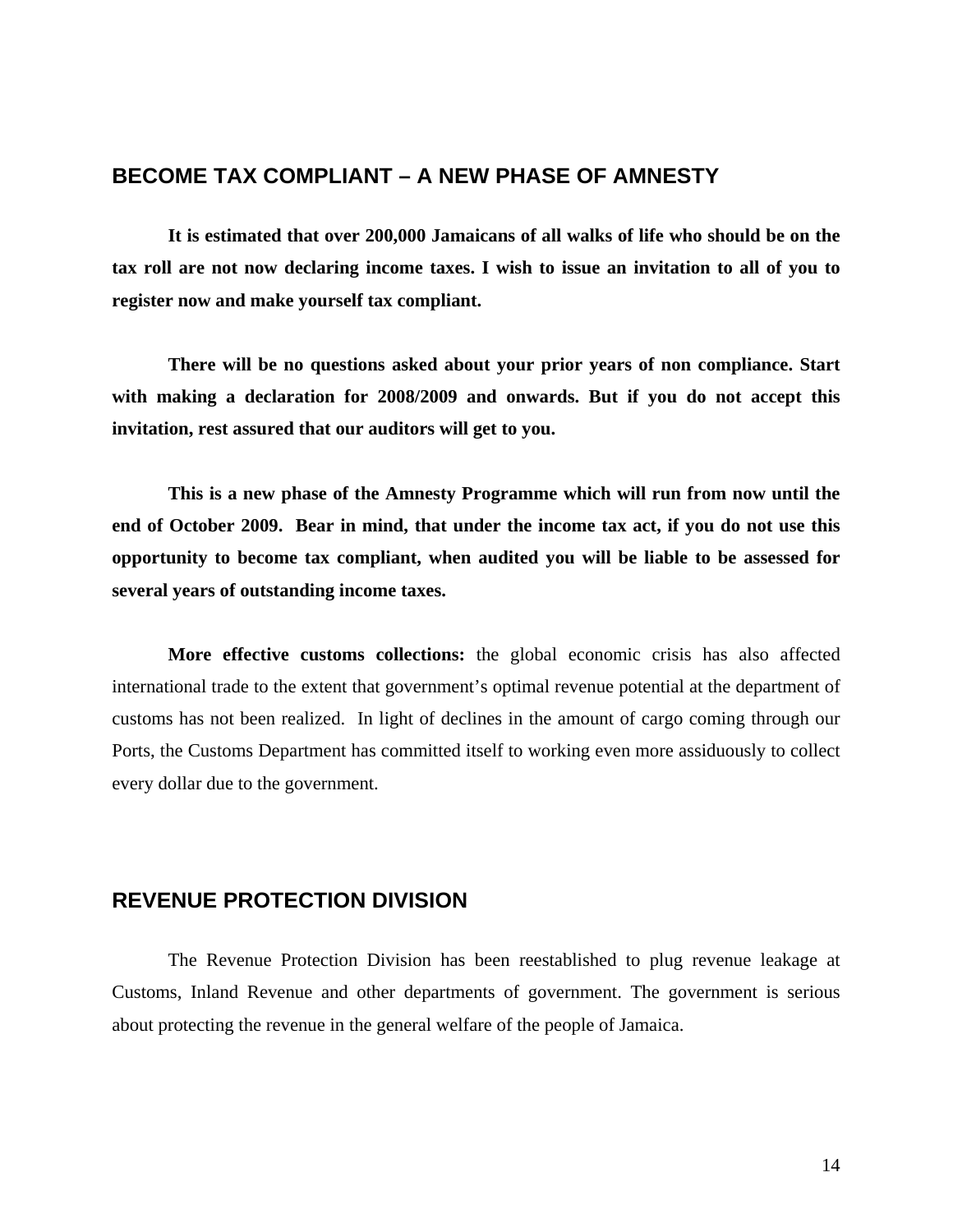### <span id="page-15-0"></span>**BECOME TAX COMPLIANT – A NEW PHASE OF AMNESTY**

 **It is estimated that over 200,000 Jamaicans of all walks of life who should be on the tax roll are not now declaring income taxes. I wish to issue an invitation to all of you to register now and make yourself tax compliant.** 

 **There will be no questions asked about your prior years of non compliance. Start with making a declaration for 2008/2009 and onwards. But if you do not accept this invitation, rest assured that our auditors will get to you.** 

**This is a new phase of the Amnesty Programme which will run from now until the end of October 2009. Bear in mind, that under the income tax act, if you do not use this opportunity to become tax compliant, when audited you will be liable to be assessed for several years of outstanding income taxes.** 

**More effective customs collections:** the global economic crisis has also affected international trade to the extent that government's optimal revenue potential at the department of customs has not been realized. In light of declines in the amount of cargo coming through our Ports, the Customs Department has committed itself to working even more assiduously to collect every dollar due to the government.

### **REVENUE PROTECTION DIVISION**

The Revenue Protection Division has been reestablished to plug revenue leakage at Customs, Inland Revenue and other departments of government. The government is serious about protecting the revenue in the general welfare of the people of Jamaica.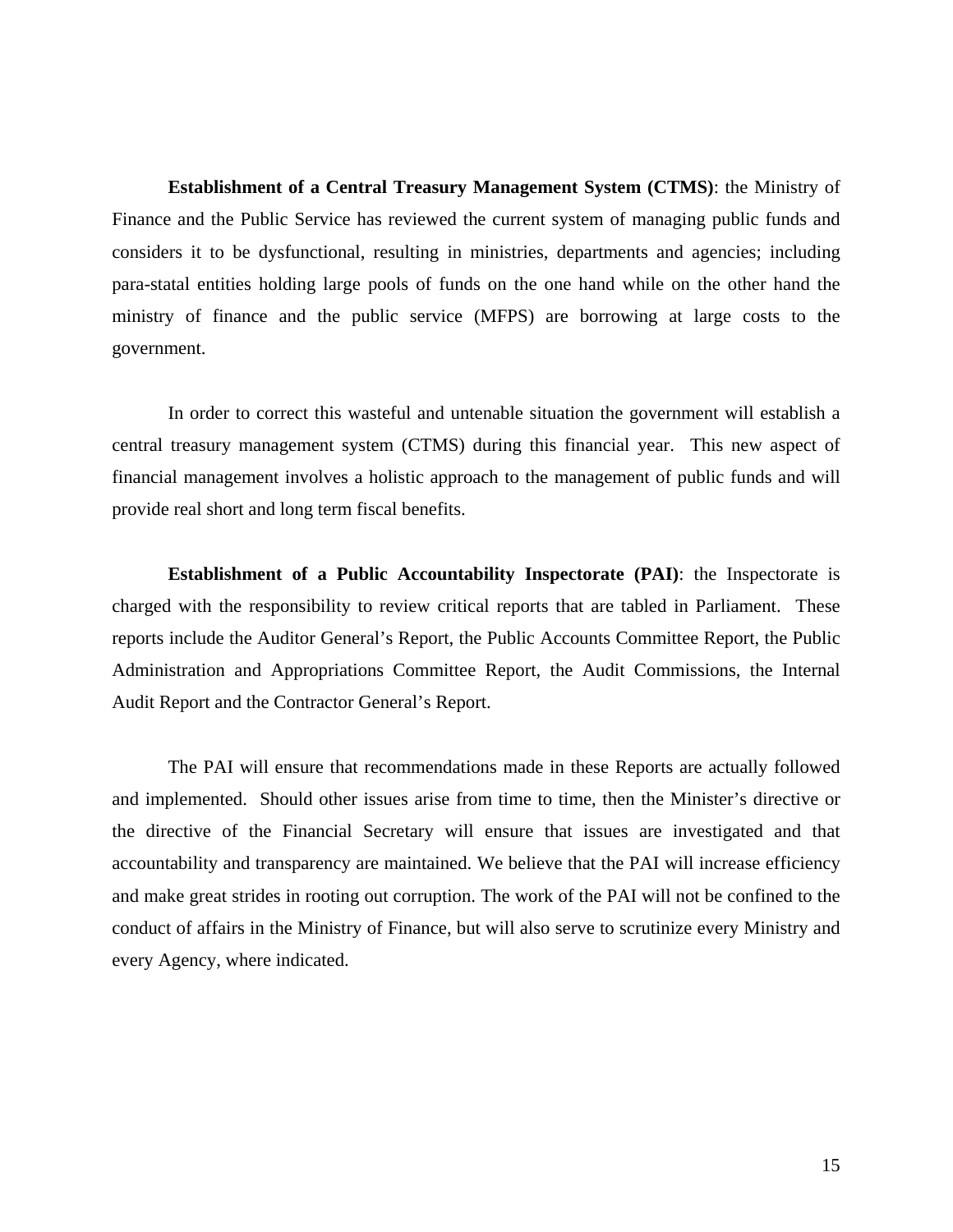**Establishment of a Central Treasury Management System (CTMS)**: the Ministry of Finance and the Public Service has reviewed the current system of managing public funds and considers it to be dysfunctional, resulting in ministries, departments and agencies; including para-statal entities holding large pools of funds on the one hand while on the other hand the ministry of finance and the public service (MFPS) are borrowing at large costs to the government.

In order to correct this wasteful and untenable situation the government will establish a central treasury management system (CTMS) during this financial year. This new aspect of financial management involves a holistic approach to the management of public funds and will provide real short and long term fiscal benefits.

**Establishment of a Public Accountability Inspectorate (PAI)**: the Inspectorate is charged with the responsibility to review critical reports that are tabled in Parliament. These reports include the Auditor General's Report, the Public Accounts Committee Report, the Public Administration and Appropriations Committee Report, the Audit Commissions, the Internal Audit Report and the Contractor General's Report.

The PAI will ensure that recommendations made in these Reports are actually followed and implemented. Should other issues arise from time to time, then the Minister's directive or the directive of the Financial Secretary will ensure that issues are investigated and that accountability and transparency are maintained. We believe that the PAI will increase efficiency and make great strides in rooting out corruption. The work of the PAI will not be confined to the conduct of affairs in the Ministry of Finance, but will also serve to scrutinize every Ministry and every Agency, where indicated.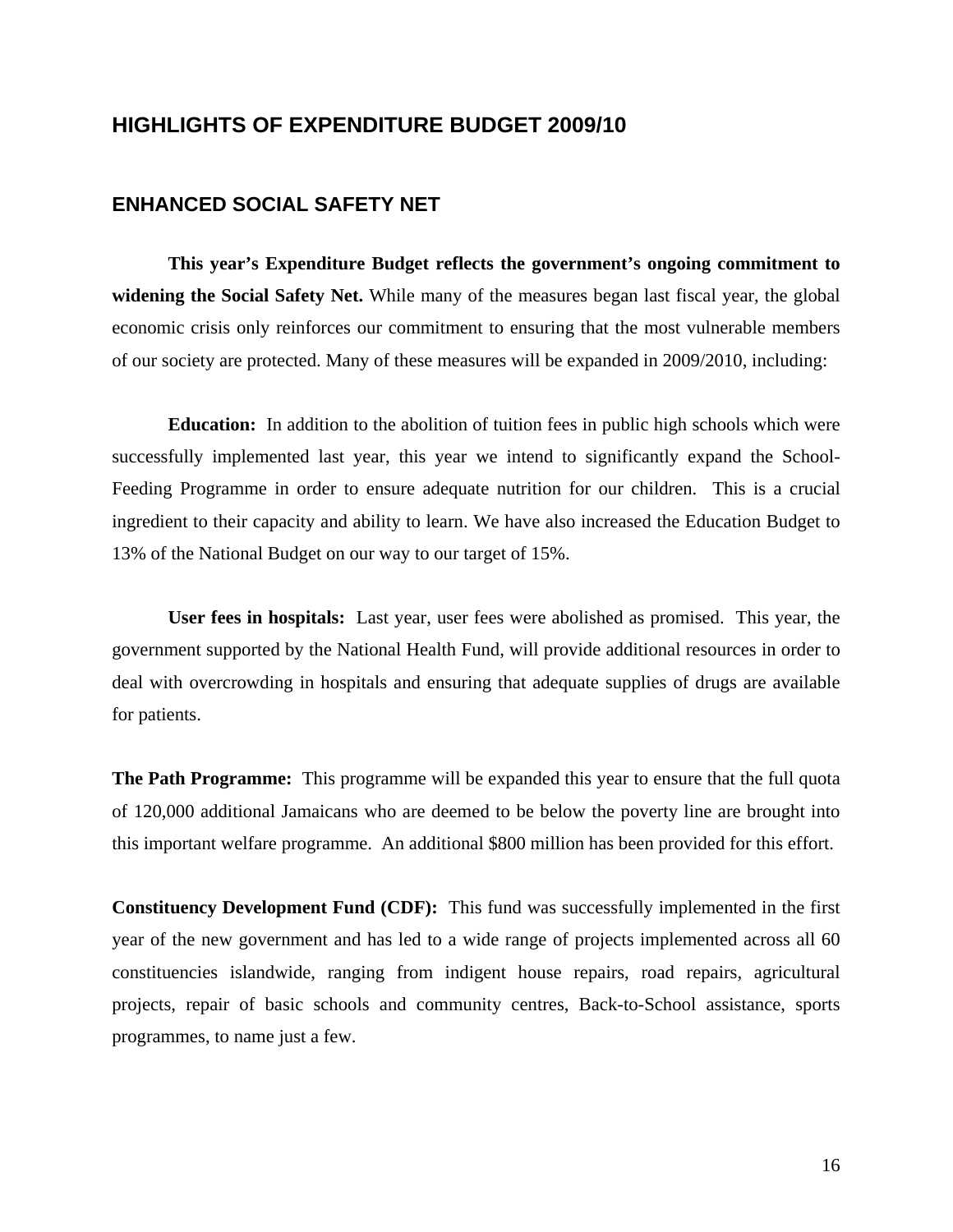## <span id="page-17-0"></span>**HIGHLIGHTS OF EXPENDITURE BUDGET 2009/10**

#### **ENHANCED SOCIAL SAFETY NET**

**This year's Expenditure Budget reflects the government's ongoing commitment to widening the Social Safety Net.** While many of the measures began last fiscal year, the global economic crisis only reinforces our commitment to ensuring that the most vulnerable members of our society are protected. Many of these measures will be expanded in 2009/2010, including:

**Education:** In addition to the abolition of tuition fees in public high schools which were successfully implemented last year, this year we intend to significantly expand the School-Feeding Programme in order to ensure adequate nutrition for our children. This is a crucial ingredient to their capacity and ability to learn. We have also increased the Education Budget to 13% of the National Budget on our way to our target of 15%.

**User fees in hospitals:** Last year, user fees were abolished as promised. This year, the government supported by the National Health Fund, will provide additional resources in order to deal with overcrowding in hospitals and ensuring that adequate supplies of drugs are available for patients.

**The Path Programme:** This programme will be expanded this year to ensure that the full quota of 120,000 additional Jamaicans who are deemed to be below the poverty line are brought into this important welfare programme. An additional \$800 million has been provided for this effort.

**Constituency Development Fund (CDF):** This fund was successfully implemented in the first year of the new government and has led to a wide range of projects implemented across all 60 constituencies islandwide, ranging from indigent house repairs, road repairs, agricultural projects, repair of basic schools and community centres, Back-to-School assistance, sports programmes, to name just a few.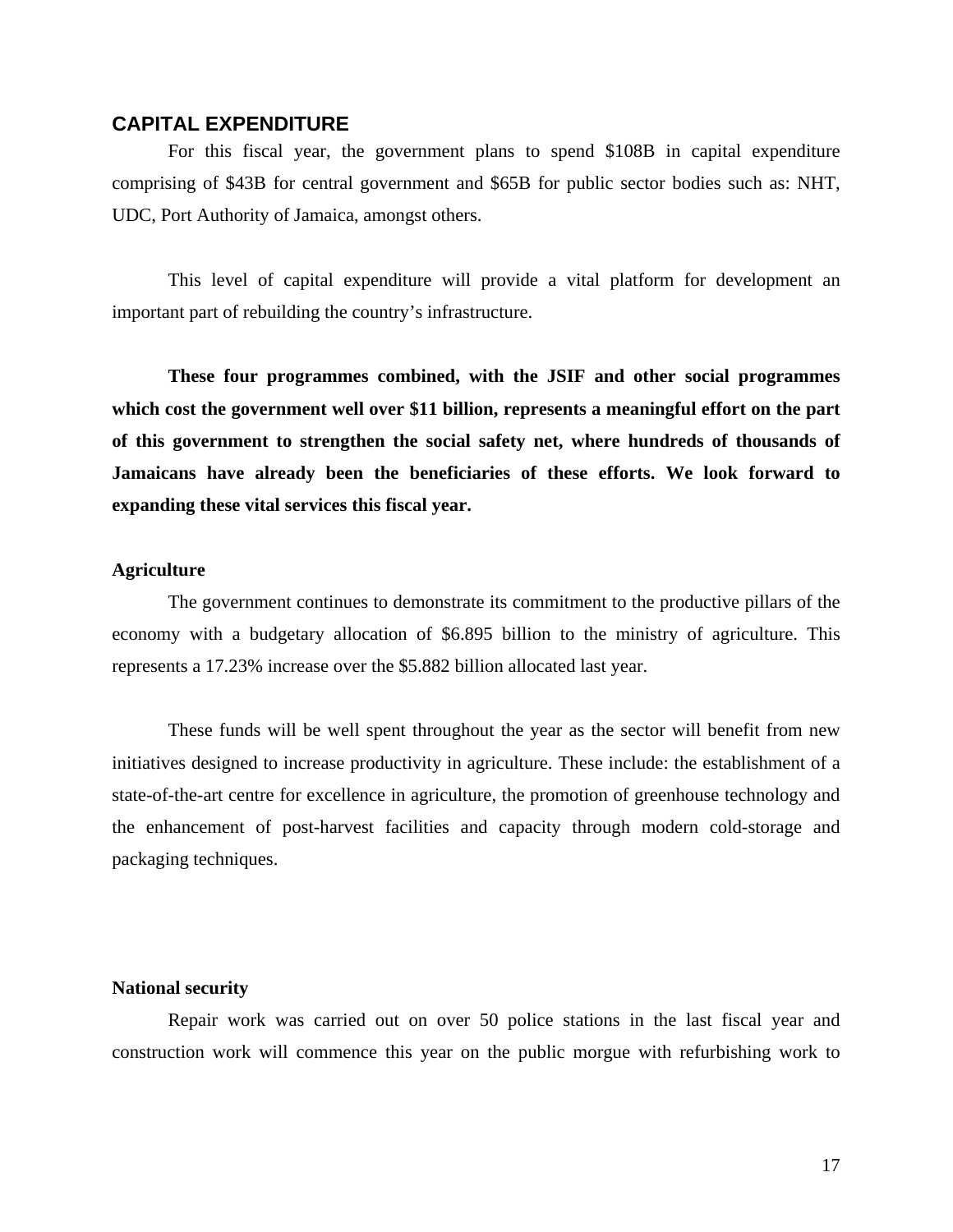#### <span id="page-18-0"></span>**CAPITAL EXPENDITURE**

For this fiscal year, the government plans to spend \$108B in capital expenditure comprising of \$43B for central government and \$65B for public sector bodies such as: NHT, UDC, Port Authority of Jamaica, amongst others.

This level of capital expenditure will provide a vital platform for development an important part of rebuilding the country's infrastructure.

**These four programmes combined, with the JSIF and other social programmes which cost the government well over \$11 billion, represents a meaningful effort on the part of this government to strengthen the social safety net, where hundreds of thousands of Jamaicans have already been the beneficiaries of these efforts. We look forward to expanding these vital services this fiscal year.** 

#### **Agriculture**

The government continues to demonstrate its commitment to the productive pillars of the economy with a budgetary allocation of \$6.895 billion to the ministry of agriculture. This represents a 17.23% increase over the \$5.882 billion allocated last year.

 These funds will be well spent throughout the year as the sector will benefit from new initiatives designed to increase productivity in agriculture. These include: the establishment of a state-of-the-art centre for excellence in agriculture, the promotion of greenhouse technology and the enhancement of post-harvest facilities and capacity through modern cold-storage and packaging techniques.

#### **National security**

Repair work was carried out on over 50 police stations in the last fiscal year and construction work will commence this year on the public morgue with refurbishing work to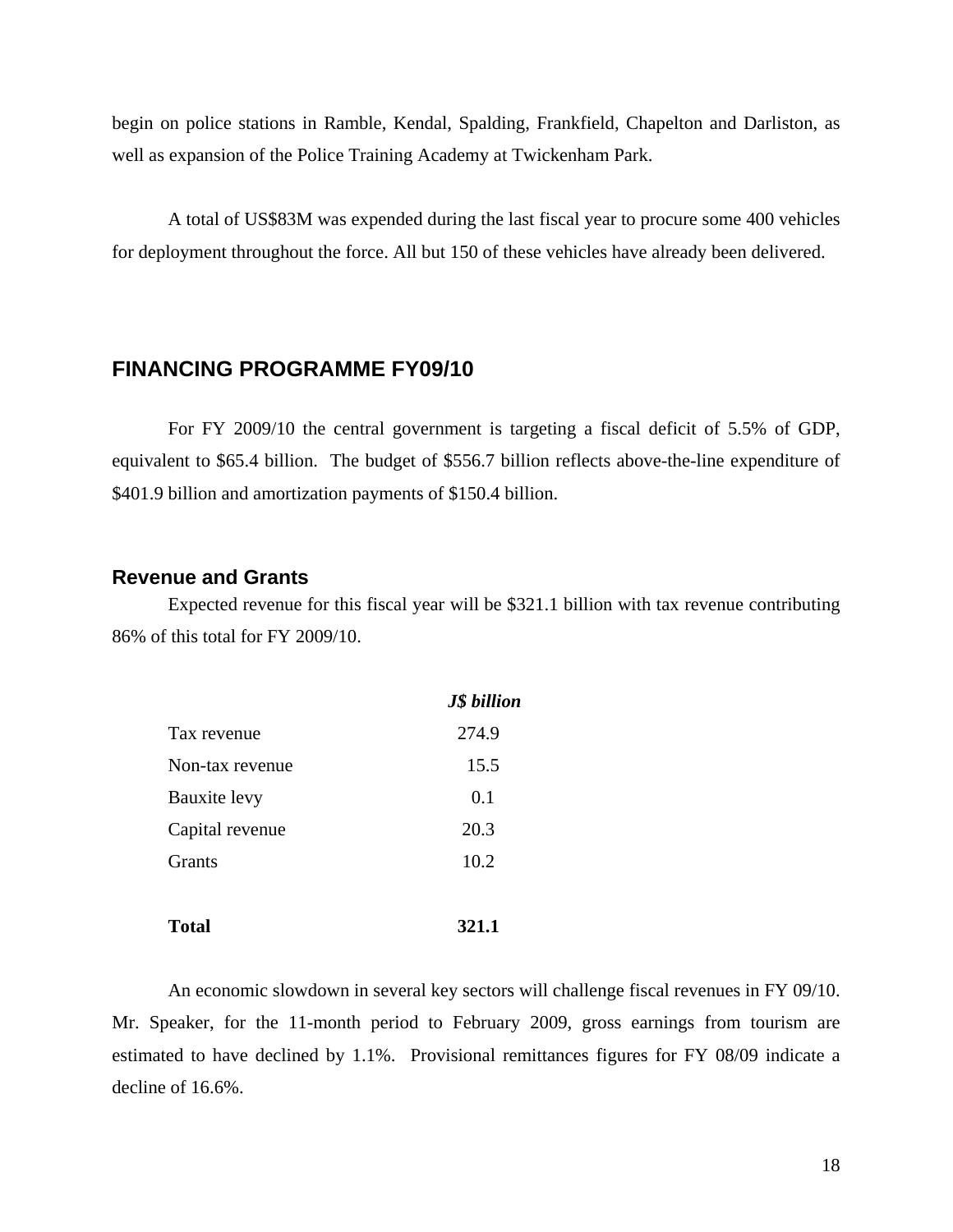<span id="page-19-0"></span>begin on police stations in Ramble, Kendal, Spalding, Frankfield, Chapelton and Darliston, as well as expansion of the Police Training Academy at Twickenham Park.

 A total of US\$83M was expended during the last fiscal year to procure some 400 vehicles for deployment throughout the force. All but 150 of these vehicles have already been delivered.

## **FINANCING PROGRAMME FY09/10**

For FY 2009/10 the central government is targeting a fiscal deficit of 5.5% of GDP, equivalent to \$65.4 billion. The budget of \$556.7 billion reflects above-the-line expenditure of \$401.9 billion and amortization payments of \$150.4 billion.

#### **Revenue and Grants**

Expected revenue for this fiscal year will be \$321.1 billion with tax revenue contributing 86% of this total for FY 2009/10.

|                 | <b>J\$</b> billion |
|-----------------|--------------------|
| Tax revenue     | 274.9              |
| Non-tax revenue | 15.5               |
| Bauxite levy    | 0.1                |
| Capital revenue | 20.3               |
| Grants          | 10.2               |
|                 |                    |
| Total           | 321.1              |

An economic slowdown in several key sectors will challenge fiscal revenues in FY 09/10. Mr. Speaker, for the 11-month period to February 2009, gross earnings from tourism are estimated to have declined by 1.1%. Provisional remittances figures for FY 08/09 indicate a decline of 16.6%.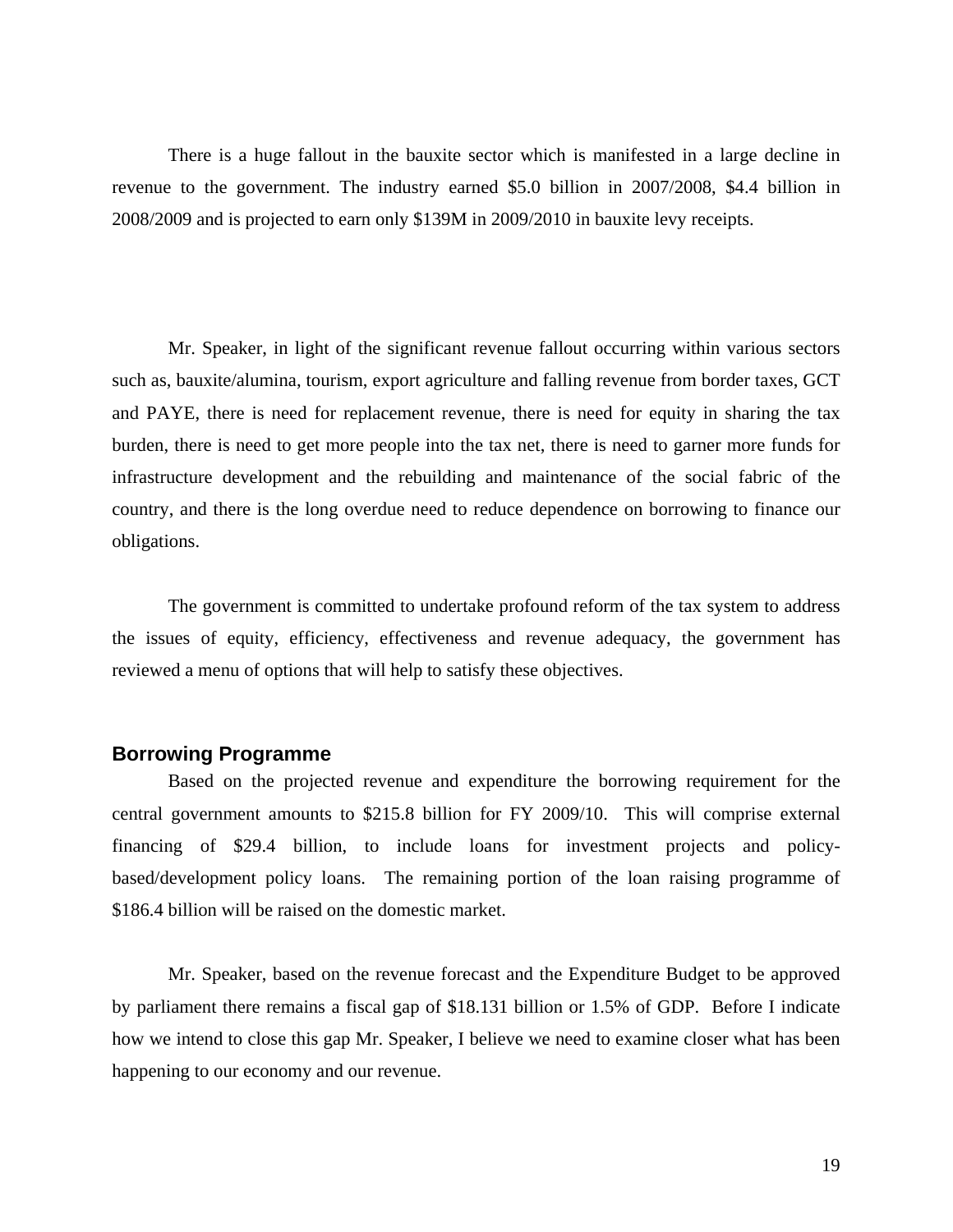<span id="page-20-0"></span>There is a huge fallout in the bauxite sector which is manifested in a large decline in revenue to the government. The industry earned \$5.0 billion in 2007/2008, \$4.4 billion in 2008/2009 and is projected to earn only \$139M in 2009/2010 in bauxite levy receipts.

Mr. Speaker, in light of the significant revenue fallout occurring within various sectors such as, bauxite/alumina, tourism, export agriculture and falling revenue from border taxes, GCT and PAYE, there is need for replacement revenue, there is need for equity in sharing the tax burden, there is need to get more people into the tax net, there is need to garner more funds for infrastructure development and the rebuilding and maintenance of the social fabric of the country, and there is the long overdue need to reduce dependence on borrowing to finance our obligations.

The government is committed to undertake profound reform of the tax system to address the issues of equity, efficiency, effectiveness and revenue adequacy, the government has reviewed a menu of options that will help to satisfy these objectives.

#### **Borrowing Programme**

Based on the projected revenue and expenditure the borrowing requirement for the central government amounts to \$215.8 billion for FY 2009/10. This will comprise external financing of \$29.4 billion, to include loans for investment projects and policybased/development policy loans. The remaining portion of the loan raising programme of \$186.4 billion will be raised on the domestic market.

Mr. Speaker, based on the revenue forecast and the Expenditure Budget to be approved by parliament there remains a fiscal gap of \$18.131 billion or 1.5% of GDP. Before I indicate how we intend to close this gap Mr. Speaker, I believe we need to examine closer what has been happening to our economy and our revenue.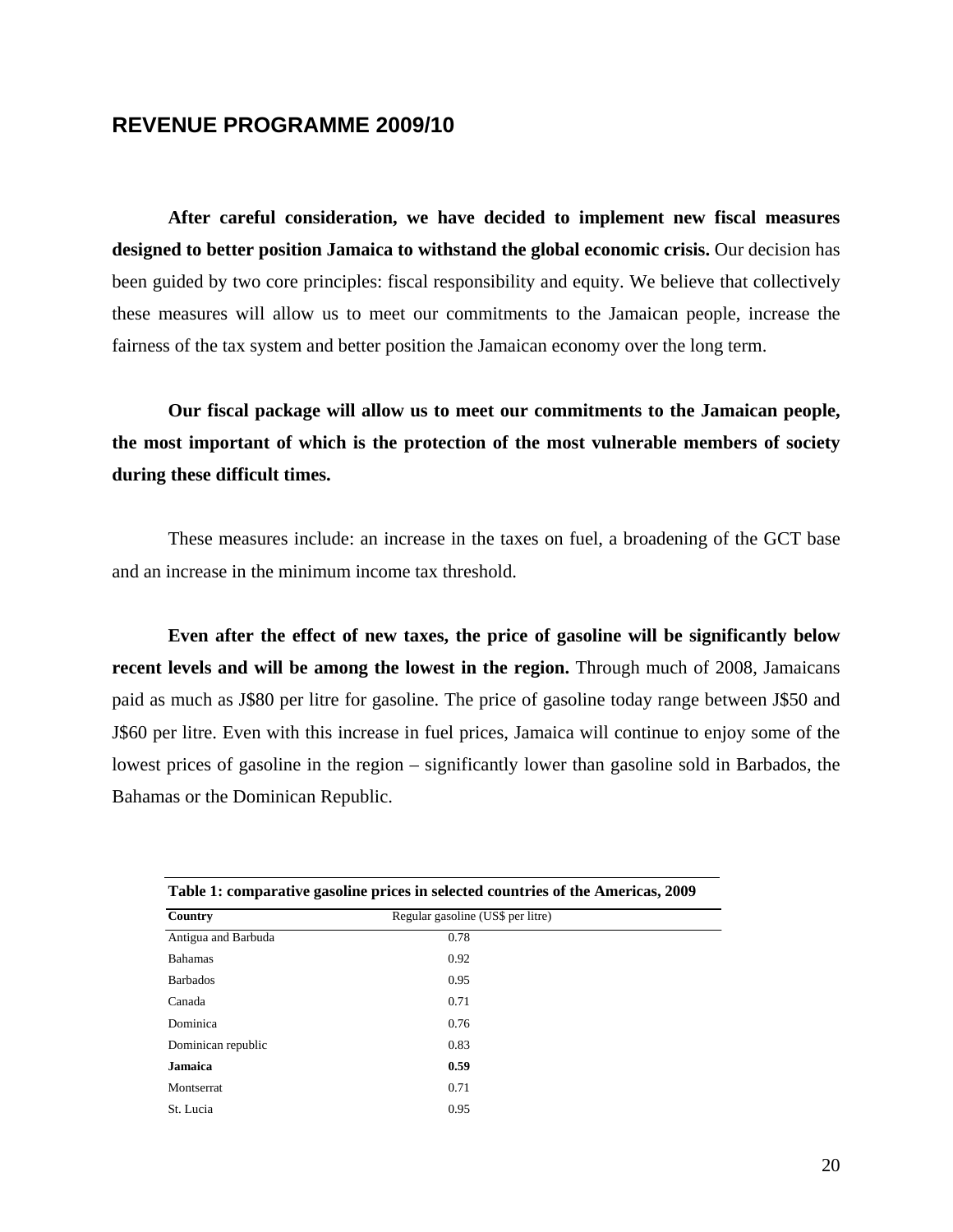### <span id="page-21-0"></span>**REVENUE PROGRAMME 2009/10**

**After careful consideration, we have decided to implement new fiscal measures designed to better position Jamaica to withstand the global economic crisis.** Our decision has been guided by two core principles: fiscal responsibility and equity. We believe that collectively these measures will allow us to meet our commitments to the Jamaican people, increase the fairness of the tax system and better position the Jamaican economy over the long term.

**Our fiscal package will allow us to meet our commitments to the Jamaican people, the most important of which is the protection of the most vulnerable members of society during these difficult times.**

These measures include: an increase in the taxes on fuel, a broadening of the GCT base and an increase in the minimum income tax threshold.

**Even after the effect of new taxes, the price of gasoline will be significantly below recent levels and will be among the lowest in the region.** Through much of 2008, Jamaicans paid as much as J\$80 per litre for gasoline. The price of gasoline today range between J\$50 and J\$60 per litre. Even with this increase in fuel prices, Jamaica will continue to enjoy some of the lowest prices of gasoline in the region – significantly lower than gasoline sold in Barbados, the Bahamas or the Dominican Republic.

| Table 1: comparative gasoline prices in selected countries of the Americas, 2009 |                                   |  |
|----------------------------------------------------------------------------------|-----------------------------------|--|
| Country                                                                          | Regular gasoline (US\$ per litre) |  |
| Antigua and Barbuda                                                              | 0.78                              |  |
| <b>Bahamas</b>                                                                   | 0.92                              |  |
| <b>Barbados</b>                                                                  | 0.95                              |  |
| Canada                                                                           | 0.71                              |  |
| Dominica                                                                         | 0.76                              |  |
| Dominican republic                                                               | 0.83                              |  |
| Jamaica                                                                          | 0.59                              |  |
| <b>Montserrat</b>                                                                | 0.71                              |  |
| St. Lucia                                                                        | 0.95                              |  |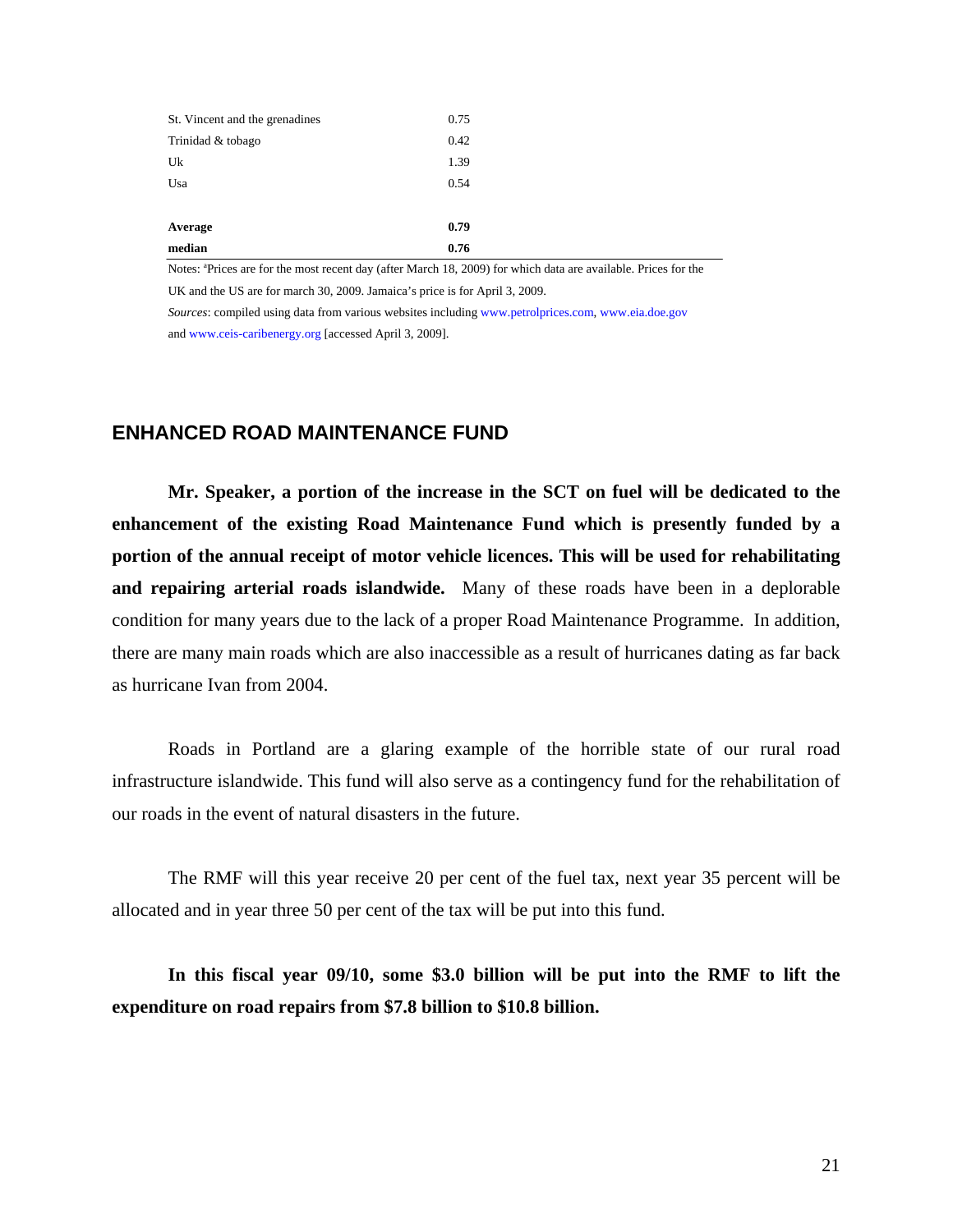<span id="page-22-0"></span>

| 0.76 |
|------|
| 0.79 |
|      |
| 0.54 |
| 1.39 |
| 0.42 |
| 0.75 |
|      |

Notes: <sup>a</sup>Prices are for the most recent day (after March 18, 2009) for which data are available. Prices for the UK and the US are for march 30, 2009. Jamaica's price is for April 3, 2009.

*Sources*: compiled using data from various websites including www.petrolprices.com, www.eia.doe.gov and www.ceis-caribenergy.org [accessed April 3, 2009].

### **ENHANCED ROAD MAINTENANCE FUND**

**Mr. Speaker, a portion of the increase in the SCT on fuel will be dedicated to the enhancement of the existing Road Maintenance Fund which is presently funded by a portion of the annual receipt of motor vehicle licences. This will be used for rehabilitating and repairing arterial roads islandwide.** Many of these roads have been in a deplorable condition for many years due to the lack of a proper Road Maintenance Programme. In addition, there are many main roads which are also inaccessible as a result of hurricanes dating as far back as hurricane Ivan from 2004.

Roads in Portland are a glaring example of the horrible state of our rural road infrastructure islandwide. This fund will also serve as a contingency fund for the rehabilitation of our roads in the event of natural disasters in the future.

The RMF will this year receive 20 per cent of the fuel tax, next year 35 percent will be allocated and in year three 50 per cent of the tax will be put into this fund.

**In this fiscal year 09/10, some \$3.0 billion will be put into the RMF to lift the expenditure on road repairs from \$7.8 billion to \$10.8 billion.**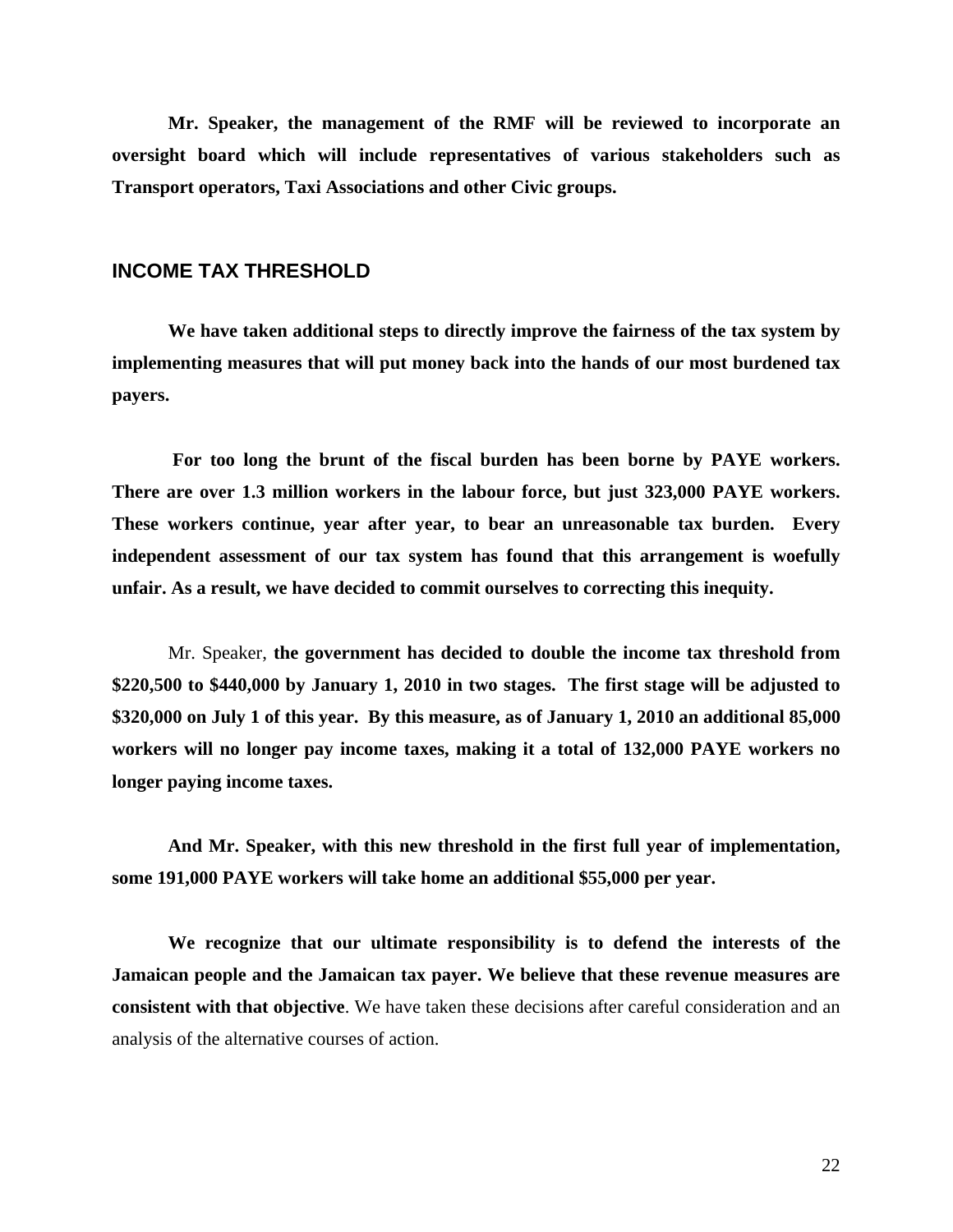<span id="page-23-0"></span>**Mr. Speaker, the management of the RMF will be reviewed to incorporate an oversight board which will include representatives of various stakeholders such as Transport operators, Taxi Associations and other Civic groups.** 

#### **INCOME TAX THRESHOLD**

**We have taken additional steps to directly improve the fairness of the tax system by implementing measures that will put money back into the hands of our most burdened tax payers.**

 **For too long the brunt of the fiscal burden has been borne by PAYE workers. There are over 1.3 million workers in the labour force, but just 323,000 PAYE workers. These workers continue, year after year, to bear an unreasonable tax burden. Every independent assessment of our tax system has found that this arrangement is woefully unfair. As a result, we have decided to commit ourselves to correcting this inequity.** 

Mr. Speaker, **the government has decided to double the income tax threshold from \$220,500 to \$440,000 by January 1, 2010 in two stages. The first stage will be adjusted to \$320,000 on July 1 of this year. By this measure, as of January 1, 2010 an additional 85,000 workers will no longer pay income taxes, making it a total of 132,000 PAYE workers no longer paying income taxes.** 

**And Mr. Speaker, with this new threshold in the first full year of implementation, some 191,000 PAYE workers will take home an additional \$55,000 per year.** 

**We recognize that our ultimate responsibility is to defend the interests of the Jamaican people and the Jamaican tax payer. We believe that these revenue measures are consistent with that objective**. We have taken these decisions after careful consideration and an analysis of the alternative courses of action.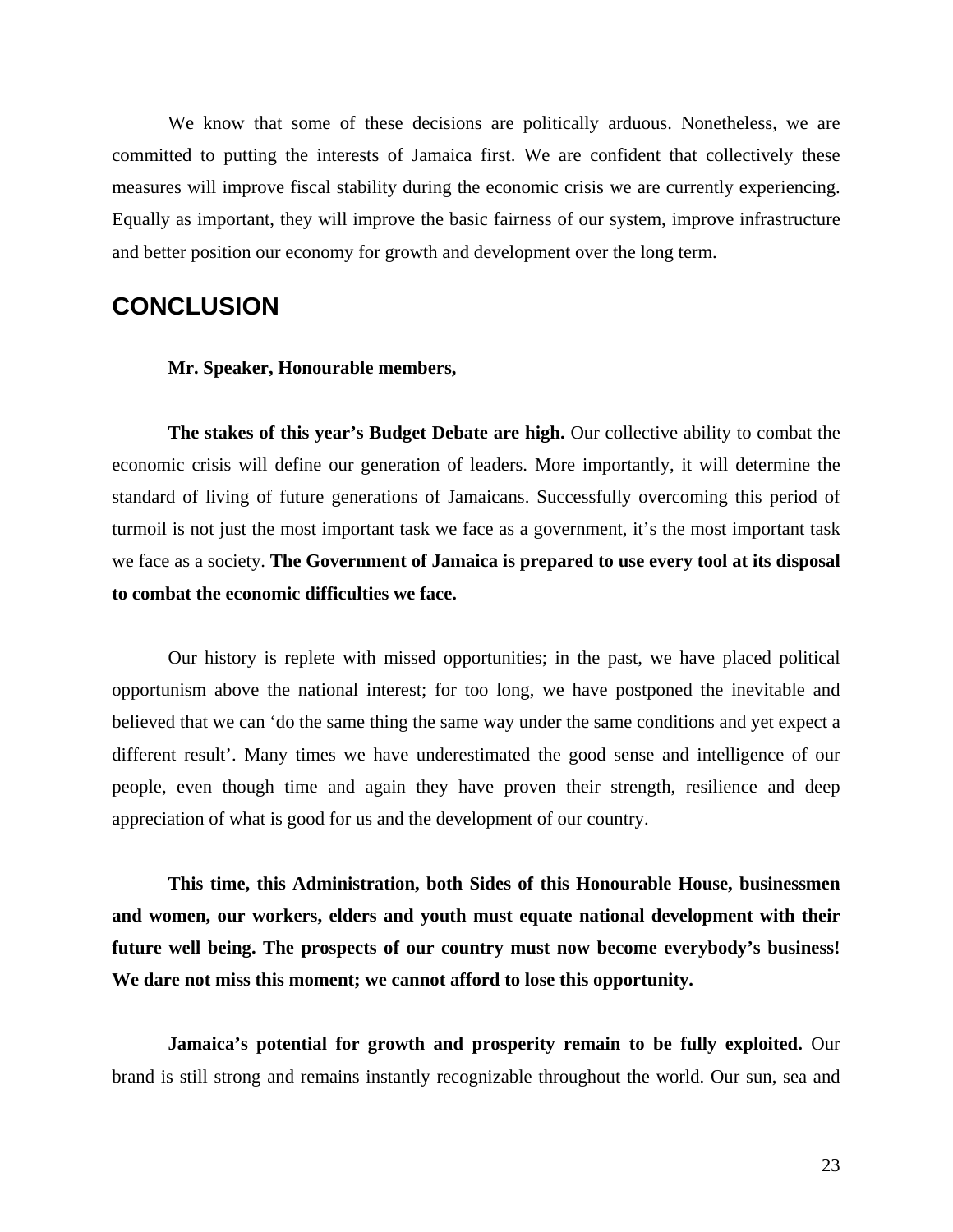<span id="page-24-0"></span>We know that some of these decisions are politically arduous. Nonetheless, we are committed to putting the interests of Jamaica first. We are confident that collectively these measures will improve fiscal stability during the economic crisis we are currently experiencing. Equally as important, they will improve the basic fairness of our system, improve infrastructure and better position our economy for growth and development over the long term.

## **CONCLUSION**

**Mr. Speaker, Honourable members,** 

**The stakes of this year's Budget Debate are high.** Our collective ability to combat the economic crisis will define our generation of leaders. More importantly, it will determine the standard of living of future generations of Jamaicans. Successfully overcoming this period of turmoil is not just the most important task we face as a government, it's the most important task we face as a society. **The Government of Jamaica is prepared to use every tool at its disposal to combat the economic difficulties we face.** 

Our history is replete with missed opportunities; in the past, we have placed political opportunism above the national interest; for too long, we have postponed the inevitable and believed that we can 'do the same thing the same way under the same conditions and yet expect a different result'. Many times we have underestimated the good sense and intelligence of our people, even though time and again they have proven their strength, resilience and deep appreciation of what is good for us and the development of our country.

**This time, this Administration, both Sides of this Honourable House, businessmen and women, our workers, elders and youth must equate national development with their future well being. The prospects of our country must now become everybody's business! We dare not miss this moment; we cannot afford to lose this opportunity.** 

**Jamaica's potential for growth and prosperity remain to be fully exploited.** Our brand is still strong and remains instantly recognizable throughout the world. Our sun, sea and